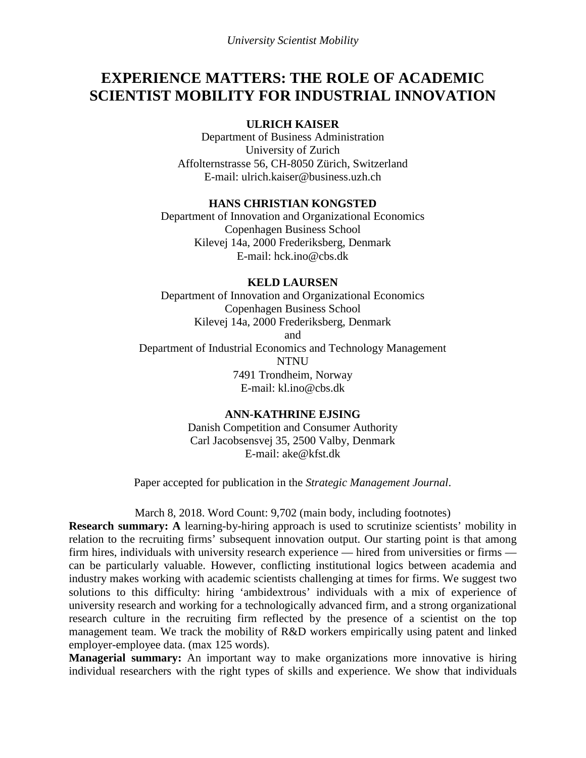# **EXPERIENCE MATTERS: THE ROLE OF ACADEMIC SCIENTIST MOBILITY FOR INDUSTRIAL INNOVATION**

## **ULRICH KAISER**

Department of Business Administration University of Zurich Affolternstrasse 56, CH-8050 Zürich, Switzerland E-mail: ulrich.kaiser@business.uzh.ch

## **HANS CHRISTIAN KONGSTED**

Department of Innovation and Organizational Economics Copenhagen Business School Kilevej 14a, 2000 Frederiksberg, Denmark E-mail: hck.ino@cbs.dk

## **KELD LAURSEN**

Department of Innovation and Organizational Economics Copenhagen Business School Kilevej 14a, 2000 Frederiksberg, Denmark and Department of Industrial Economics and Technology Management NTNU 7491 Trondheim, Norway E-mail: kl.ino@cbs.dk

## **ANN-KATHRINE EJSING**

Danish Competition and Consumer Authority Carl Jacobsensvej 35, 2500 Valby, Denmark E-mail: ake@kfst.dk

Paper accepted for publication in the *Strategic Management Journal*.

March 8, 2018. Word Count: 9,702 (main body, including footnotes)

**Research summary: A** learning-by-hiring approach is used to scrutinize scientists' mobility in relation to the recruiting firms' subsequent innovation output. Our starting point is that among firm hires, individuals with university research experience — hired from universities or firms can be particularly valuable. However, conflicting institutional logics between academia and industry makes working with academic scientists challenging at times for firms. We suggest two solutions to this difficulty: hiring 'ambidextrous' individuals with a mix of experience of university research and working for a technologically advanced firm, and a strong organizational research culture in the recruiting firm reflected by the presence of a scientist on the top management team. We track the mobility of R&D workers empirically using patent and linked employer-employee data. (max 125 words).

**Managerial summary:** An important way to make organizations more innovative is hiring individual researchers with the right types of skills and experience. We show that individuals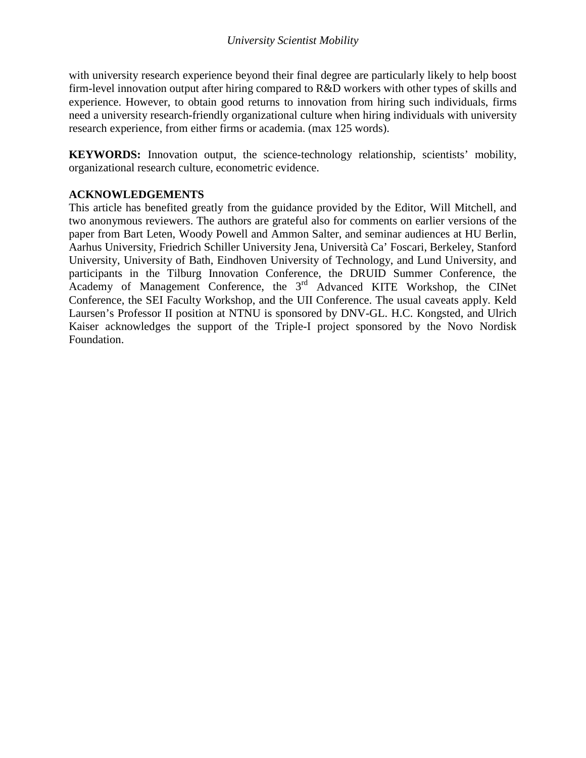with university research experience beyond their final degree are particularly likely to help boost firm-level innovation output after hiring compared to R&D workers with other types of skills and experience. However, to obtain good returns to innovation from hiring such individuals, firms need a university research-friendly organizational culture when hiring individuals with university research experience, from either firms or academia. (max 125 words).

**KEYWORDS:** Innovation output, the science-technology relationship, scientists' mobility, organizational research culture, econometric evidence.

## **ACKNOWLEDGEMENTS**

This article has benefited greatly from the guidance provided by the Editor, Will Mitchell, and two anonymous reviewers. The authors are grateful also for comments on earlier versions of the paper from Bart Leten, Woody Powell and Ammon Salter, and seminar audiences at HU Berlin, Aarhus University, Friedrich Schiller University Jena, Università Ca' Foscari, Berkeley, Stanford University, University of Bath, Eindhoven University of Technology, and Lund University, and participants in the Tilburg Innovation Conference, the DRUID Summer Conference, the Academy of Management Conference, the 3<sup>rd</sup> Advanced KITE Workshop, the CINet Conference, the SEI Faculty Workshop, and the UII Conference. The usual caveats apply. Keld Laursen's Professor II position at NTNU is sponsored by DNV-GL. H.C. Kongsted, and Ulrich Kaiser acknowledges the support of the Triple-I project sponsored by the Novo Nordisk Foundation.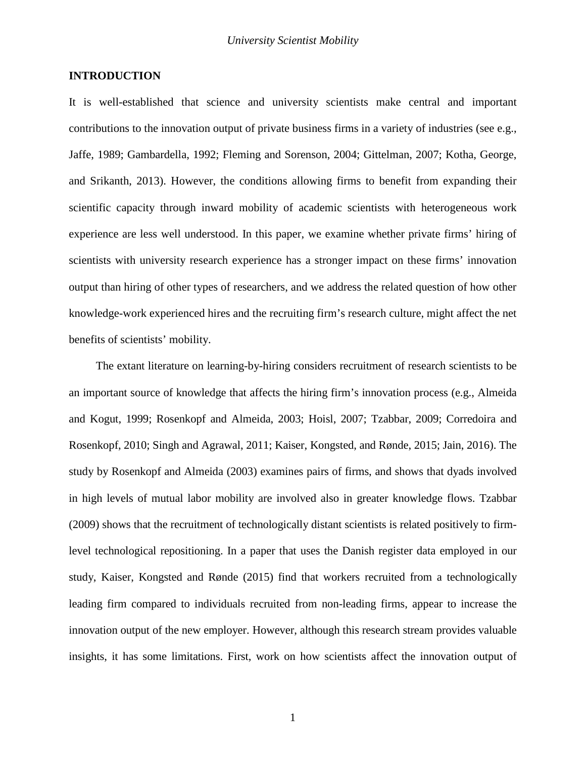## **INTRODUCTION**

It is well-established that science and university scientists make central and important contributions to the innovation output of private business firms in a variety of industries (see e.g., [Jaffe, 1989;](#page-36-0) [Gambardella, 1992;](#page-35-0) [Fleming and Sorenson, 2004;](#page-35-1) [Gittelman, 2007;](#page-35-2) [Kotha, George,](#page-36-1)  [and Srikanth, 2013\)](#page-36-1). However, the conditions allowing firms to benefit from expanding their scientific capacity through inward mobility of academic scientists with heterogeneous work experience are less well understood. In this paper, we examine whether private firms' hiring of scientists with university research experience has a stronger impact on these firms' innovation output than hiring of other types of researchers, and we address the related question of how other knowledge-work experienced hires and the recruiting firm's research culture, might affect the net benefits of scientists' mobility.

The extant literature on learning-by-hiring considers recruitment of research scientists to be an important source of knowledge that affects the hiring firm's innovation process (e.g., [Almeida](#page-34-0)  [and Kogut, 1999;](#page-34-0) [Rosenkopf and Almeida, 2003;](#page-37-0) [Hoisl, 2007;](#page-35-3) [Tzabbar, 2009;](#page-37-1) [Corredoira and](#page-35-4)  [Rosenkopf, 2010;](#page-35-4) [Singh and Agrawal, 2011;](#page-37-2) [Kaiser, Kongsted, and Rønde,](#page-36-2) 2015; [Jain, 2016\)](#page-36-3). The study by Rosenkopf and Almeida [\(2003\)](#page-37-0) examines pairs of firms, and shows that dyads involved in high levels of mutual labor mobility are involved also in greater knowledge flows. Tzabbar [\(2009\)](#page-37-1) shows that the recruitment of technologically distant scientists is related positively to firmlevel technological repositioning. In a paper that uses the Danish register data employed in our study, Kaiser, Kongsted and Rønde [\(2015\)](#page-36-2) find that workers recruited from a technologically leading firm compared to individuals recruited from non-leading firms, appear to increase the innovation output of the new employer. However, although this research stream provides valuable insights, it has some limitations. First, work on how scientists affect the innovation output of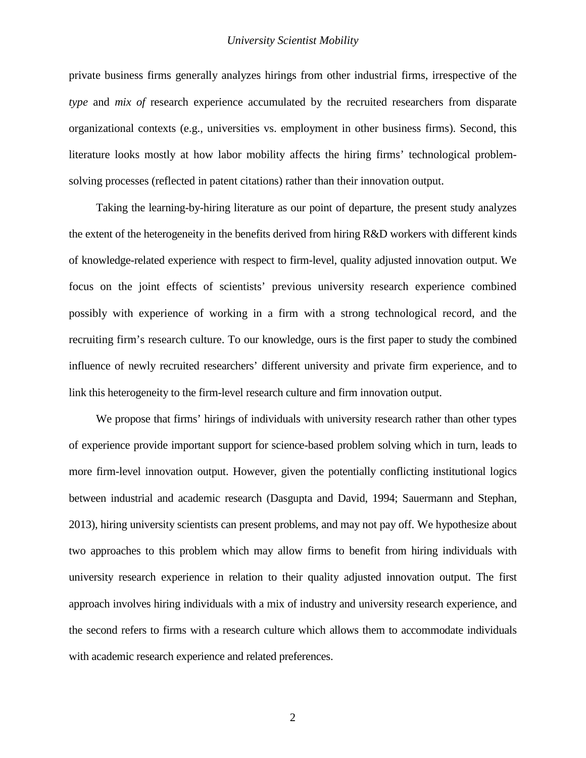private business firms generally analyzes hirings from other industrial firms, irrespective of the *type* and *mix of* research experience accumulated by the recruited researchers from disparate organizational contexts (e.g., universities vs. employment in other business firms). Second, this literature looks mostly at how labor mobility affects the hiring firms' technological problemsolving processes (reflected in patent citations) rather than their innovation output.

Taking the learning-by-hiring literature as our point of departure, the present study analyzes the extent of the heterogeneity in the benefits derived from hiring R&D workers with different kinds of knowledge-related experience with respect to firm-level, quality adjusted innovation output. We focus on the joint effects of scientists' previous university research experience combined possibly with experience of working in a firm with a strong technological record, and the recruiting firm's research culture. To our knowledge, ours is the first paper to study the combined influence of newly recruited researchers' different university and private firm experience, and to link this heterogeneity to the firm-level research culture and firm innovation output.

We propose that firms' hirings of individuals with university research rather than other types of experience provide important support for science-based problem solving which in turn, leads to more firm-level innovation output. However, given the potentially conflicting institutional logics between industrial and academic research [\(Dasgupta and David, 1994;](#page-35-5) [Sauermann and Stephan,](#page-37-3)  [2013\)](#page-37-3), hiring university scientists can present problems, and may not pay off. We hypothesize about two approaches to this problem which may allow firms to benefit from hiring individuals with university research experience in relation to their quality adjusted innovation output. The first approach involves hiring individuals with a mix of industry and university research experience, and the second refers to firms with a research culture which allows them to accommodate individuals with academic research experience and related preferences.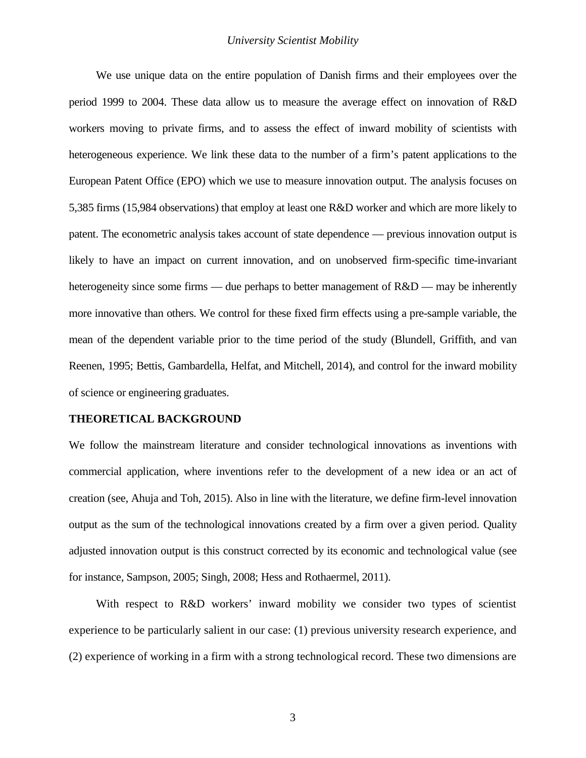We use unique data on the entire population of Danish firms and their employees over the period 1999 to 2004. These data allow us to measure the average effect on innovation of R&D workers moving to private firms, and to assess the effect of inward mobility of scientists with heterogeneous experience. We link these data to the number of a firm's patent applications to the European Patent Office (EPO) which we use to measure innovation output. The analysis focuses on 5,385 firms (15,984 observations) that employ at least one R&D worker and which are more likely to patent. The econometric analysis takes account of state dependence — previous innovation output is likely to have an impact on current innovation, and on unobserved firm-specific time-invariant heterogeneity since some firms — due perhaps to better management of  $R&D$  — may be inherently more innovative than others. We control for these fixed firm effects using a pre-sample variable, the mean of the dependent variable prior to the time period of the study [\(Blundell, Griffith, and van](#page-34-1)  [Reenen, 1995;](#page-34-1) [Bettis, Gambardella, Helfat, and Mitchell, 2014\)](#page-34-2), and control for the inward mobility of science or engineering graduates.

#### **THEORETICAL BACKGROUND**

We follow the mainstream literature and consider technological innovations as inventions with commercial application, where inventions refer to the development of a new idea or an act of creation [\(see, Ahuja and Toh, 2015\)](#page-34-3). Also in line with the literature, we define firm-level innovation output as the sum of the technological innovations created by a firm over a given period. Quality adjusted innovation output is this construct corrected by its economic and technological value (see for instance, [Sampson, 2005;](#page-37-4) [Singh, 2008;](#page-37-5) [Hess and Rothaermel, 2011\)](#page-35-6).

With respect to R&D workers' inward mobility we consider two types of scientist experience to be particularly salient in our case: (1) previous university research experience, and (2) experience of working in a firm with a strong technological record. These two dimensions are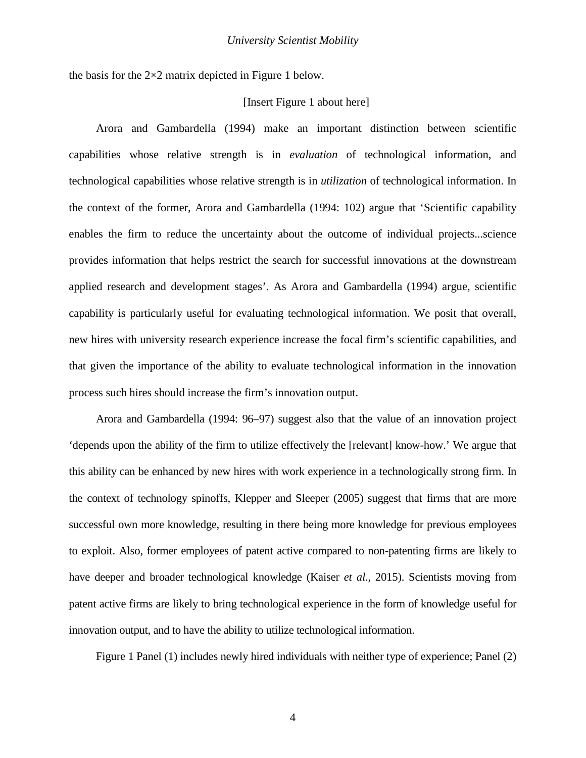the basis for the  $2\times 2$  matrix depicted in Figure 1 below.

## [Insert Figure 1 about here]

Arora and Gambardella [\(1994\)](#page-34-4) make an important distinction between scientific capabilities whose relative strength is in *evaluation* of technological information, and technological capabilities whose relative strength is in *utilization* of technological information. In the context of the former, Arora and Gambardella [\(1994: 102\)](#page-34-4) argue that 'Scientific capability enables the firm to reduce the uncertainty about the outcome of individual projects...science provides information that helps restrict the search for successful innovations at the downstream applied research and development stages'. As Arora and Gambardella [\(1994\)](#page-34-4) argue, scientific capability is particularly useful for evaluating technological information. We posit that overall, new hires with university research experience increase the focal firm's scientific capabilities, and that given the importance of the ability to evaluate technological information in the innovation process such hires should increase the firm's innovation output.

Arora and Gambardella [\(1994: 96–97\)](#page-34-4) suggest also that the value of an innovation project 'depends upon the ability of the firm to utilize effectively the [relevant] know-how.' We argue that this ability can be enhanced by new hires with work experience in a technologically strong firm. In the context of technology spinoffs, Klepper and Sleeper [\(2005\)](#page-36-4) suggest that firms that are more successful own more knowledge, resulting in there being more knowledge for previous employees to exploit. Also, former employees of patent active compared to non-patenting firms are likely to have deeper and broader technological knowledge (Kaiser *et al.*[, 2015\)](#page-36-2). Scientists moving from patent active firms are likely to bring technological experience in the form of knowledge useful for innovation output, and to have the ability to utilize technological information.

Figure 1 Panel (1) includes newly hired individuals with neither type of experience; Panel (2)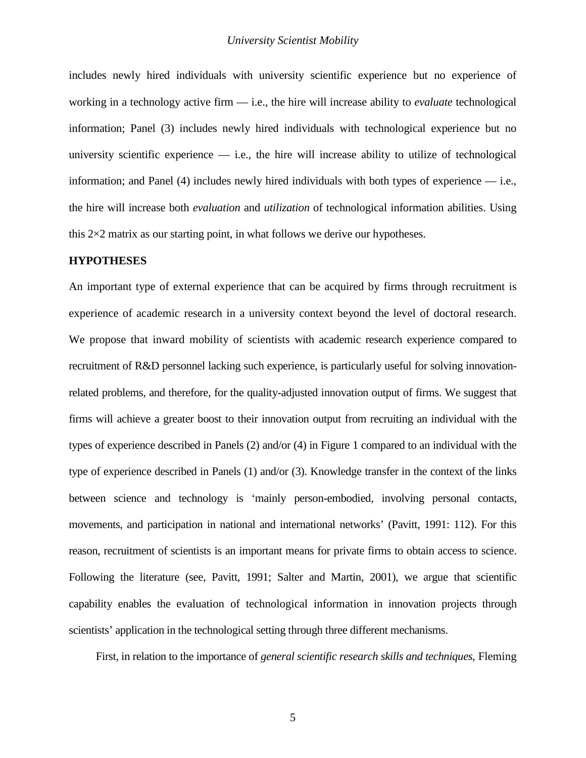includes newly hired individuals with university scientific experience but no experience of working in a technology active firm — i.e., the hire will increase ability to *evaluate* technological information; Panel (3) includes newly hired individuals with technological experience but no university scientific experience  $-$  i.e., the hire will increase ability to utilize of technological information; and Panel  $(4)$  includes newly hired individuals with both types of experience — i.e., the hire will increase both *evaluation* and *utilization* of technological information abilities. Using this  $2\times 2$  matrix as our starting point, in what follows we derive our hypotheses.

## **HYPOTHESES**

An important type of external experience that can be acquired by firms through recruitment is experience of academic research in a university context beyond the level of doctoral research. We propose that inward mobility of scientists with academic research experience compared to recruitment of R&D personnel lacking such experience, is particularly useful for solving innovationrelated problems, and therefore, for the quality-adjusted innovation output of firms. We suggest that firms will achieve a greater boost to their innovation output from recruiting an individual with the types of experience described in Panels (2) and/or (4) in Figure 1 compared to an individual with the type of experience described in Panels (1) and/or (3). Knowledge transfer in the context of the links between science and technology is 'mainly person-embodied, involving personal contacts, movements, and participation in national and international networks' [\(Pavitt, 1991: 112\)](#page-36-5). For this reason, recruitment of scientists is an important means for private firms to obtain access to science. Following the literature (see, [Pavitt, 1991;](#page-36-5) [Salter and Martin, 2001\)](#page-37-6), we argue that scientific capability enables the evaluation of technological information in innovation projects through scientists' application in the technological setting through three different mechanisms.

First, in relation to the importance of *general scientific research skills and techniques*, Fleming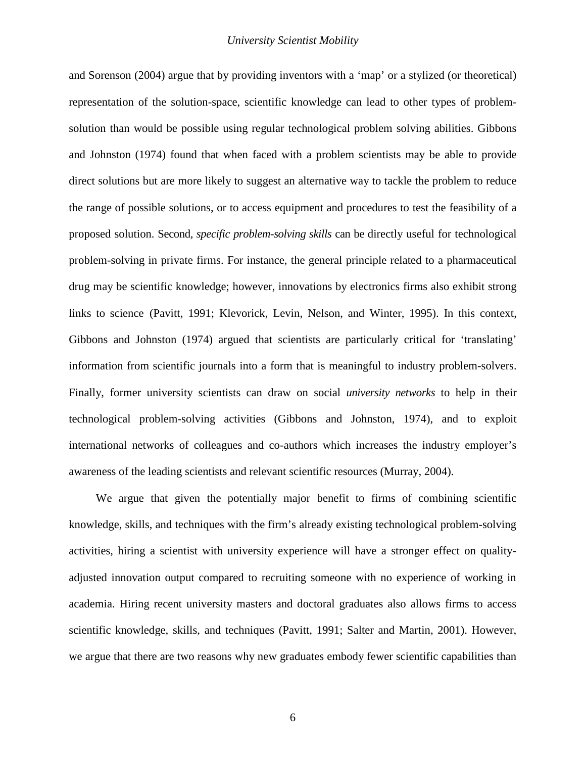and Sorenson [\(2004\)](#page-35-1) argue that by providing inventors with a 'map' or a stylized (or theoretical) representation of the solution-space, scientific knowledge can lead to other types of problemsolution than would be possible using regular technological problem solving abilities. Gibbons and Johnston [\(1974\)](#page-35-7) found that when faced with a problem scientists may be able to provide direct solutions but are more likely to suggest an alternative way to tackle the problem to reduce the range of possible solutions, or to access equipment and procedures to test the feasibility of a proposed solution. Second*, specific problem-solving skills* can be directly useful for technological problem-solving in private firms. For instance, the general principle related to a pharmaceutical drug may be scientific knowledge; however, innovations by electronics firms also exhibit strong links to science [\(Pavitt, 1991;](#page-36-5) [Klevorick, Levin, Nelson, and Winter, 1995\)](#page-36-6). In this context, Gibbons and Johnston [\(1974\)](#page-35-7) argued that scientists are particularly critical for 'translating' information from scientific journals into a form that is meaningful to industry problem-solvers. Finally, former university scientists can draw on social *university networks* to help in their technological problem-solving activities [\(Gibbons and Johnston, 1974\)](#page-35-7), and to exploit international networks of colleagues and co-authors which increases the industry employer's awareness of the leading scientists and relevant scientific resources [\(Murray, 2004\)](#page-36-7).

We argue that given the potentially major benefit to firms of combining scientific knowledge, skills, and techniques with the firm's already existing technological problem-solving activities, hiring a scientist with university experience will have a stronger effect on qualityadjusted innovation output compared to recruiting someone with no experience of working in academia. Hiring recent university masters and doctoral graduates also allows firms to access scientific knowledge, skills, and techniques [\(Pavitt, 1991;](#page-36-5) [Salter and Martin, 2001\)](#page-37-6). However, we argue that there are two reasons why new graduates embody fewer scientific capabilities than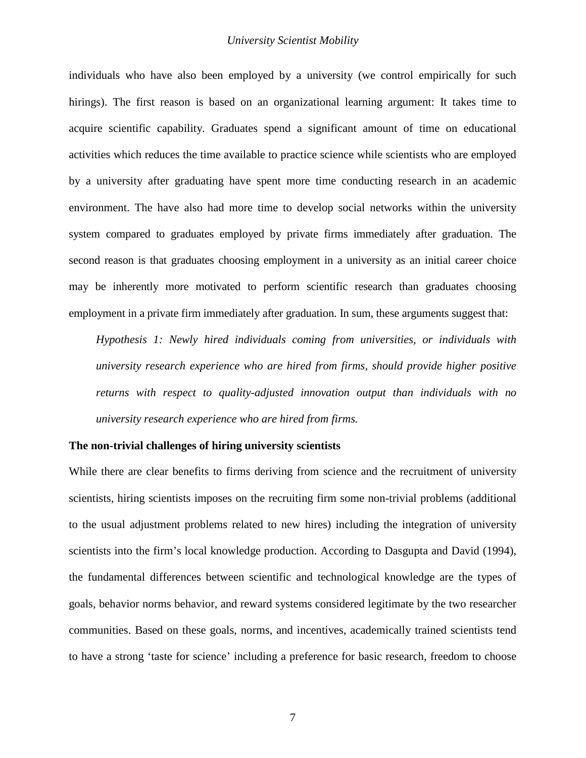individuals who have also been employed by a university (we control empirically for such hirings). The first reason is based on an organizational learning argument: It takes time to acquire scientific capability. Graduates spend a significant amount of time on educational activities which reduces the time available to practice science while scientists who are employed by a university after graduating have spent more time conducting research in an academic environment. The have also had more time to develop social networks within the university system compared to graduates employed by private firms immediately after graduation. The second reason is that graduates choosing employment in a university as an initial career choice may be inherently more motivated to perform scientific research than graduates choosing employment in a private firm immediately after graduation. In sum, these arguments suggest that:

*Hypothesis 1: Newly hired individuals coming from universities, or individuals with university research experience who are hired from firms, should provide higher positive returns with respect to quality-adjusted innovation output than individuals with no university research experience who are hired from firms.*

### **The non-trivial challenges of hiring university scientists**

While there are clear benefits to firms deriving from science and the recruitment of university scientists, hiring scientists imposes on the recruiting firm some non-trivial problems (additional to the usual adjustment problems related to new hires) including the integration of university scientists into the firm's local knowledge production. According to Dasgupta and David [\(1994\)](#page-35-5), the fundamental differences between scientific and technological knowledge are the types of goals, behavior norms behavior, and reward systems considered legitimate by the two researcher communities. Based on these goals, norms, and incentives, academically trained scientists tend to have a strong 'taste for science' including a preference for basic research, freedom to choose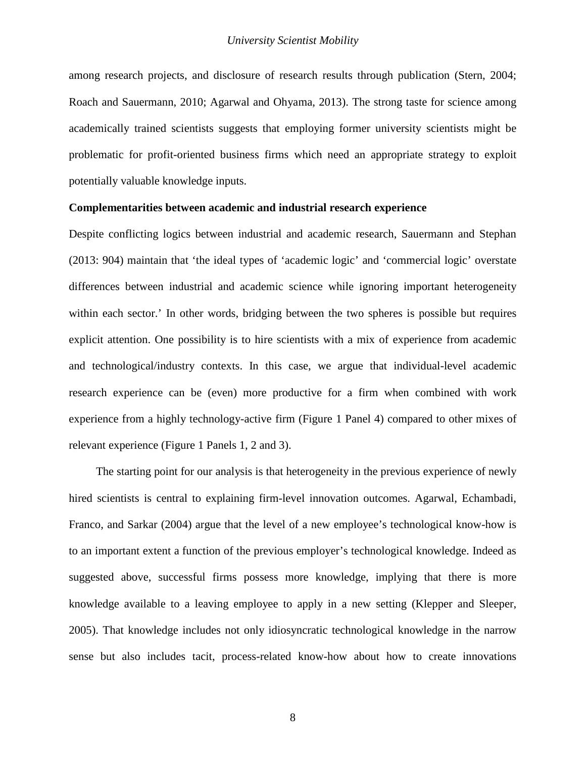among research projects, and disclosure of research results through publication [\(Stern, 2004;](#page-37-7) [Roach and Sauermann, 2010;](#page-36-8) [Agarwal and Ohyama, 2013\)](#page-34-5). The strong taste for science among academically trained scientists suggests that employing former university scientists might be problematic for profit-oriented business firms which need an appropriate strategy to exploit potentially valuable knowledge inputs.

## **Complementarities between academic and industrial research experience**

Despite conflicting logics between industrial and academic research, Sauermann and Stephan [\(2013: 904\)](#page-37-3) maintain that 'the ideal types of 'academic logic' and 'commercial logic' overstate differences between industrial and academic science while ignoring important heterogeneity within each sector.' In other words, bridging between the two spheres is possible but requires explicit attention. One possibility is to hire scientists with a mix of experience from academic and technological/industry contexts. In this case, we argue that individual-level academic research experience can be (even) more productive for a firm when combined with work experience from a highly technology-active firm (Figure 1 Panel 4) compared to other mixes of relevant experience (Figure 1 Panels 1, 2 and 3).

The starting point for our analysis is that heterogeneity in the previous experience of newly hired scientists is central to explaining firm-level innovation outcomes. Agarwal, Echambadi, Franco, and Sarkar [\(2004\)](#page-34-6) argue that the level of a new employee's technological know-how is to an important extent a function of the previous employer's technological knowledge. Indeed as suggested above, successful firms possess more knowledge, implying that there is more knowledge available to a leaving employee to apply in a new setting [\(Klepper and Sleeper,](#page-36-4)  [2005\)](#page-36-4). That knowledge includes not only idiosyncratic technological knowledge in the narrow sense but also includes tacit, process-related know-how about how to create innovations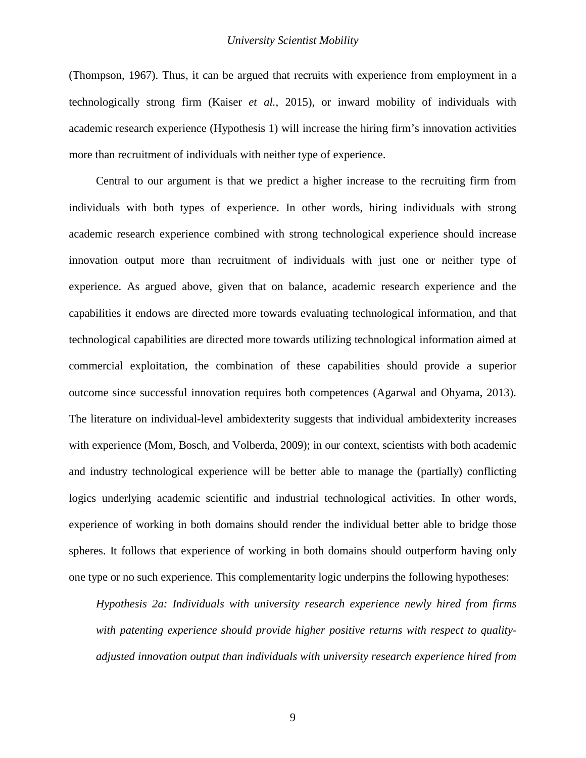[\(Thompson, 1967\)](#page-37-8). Thus, it can be argued that recruits with experience from employment in a technologically strong firm (Kaiser *et al.*[, 2015\)](#page-36-2), or inward mobility of individuals with academic research experience (Hypothesis 1) will increase the hiring firm's innovation activities more than recruitment of individuals with neither type of experience.

Central to our argument is that we predict a higher increase to the recruiting firm from individuals with both types of experience. In other words, hiring individuals with strong academic research experience combined with strong technological experience should increase innovation output more than recruitment of individuals with just one or neither type of experience. As argued above, given that on balance, academic research experience and the capabilities it endows are directed more towards evaluating technological information, and that technological capabilities are directed more towards utilizing technological information aimed at commercial exploitation, the combination of these capabilities should provide a superior outcome since successful innovation requires both competences [\(Agarwal and Ohyama, 2013\)](#page-34-5)[.](#page-34-7) The literature on individual-level ambidexterity suggests that individual ambidexterity increases with experience [\(Mom, Bosch, and Volberda, 2009\)](#page-36-9); in our context, scientists with both academic and industry technological experience will be better able to manage the (partially) conflicting logics underlying academic scientific and industrial technological activities. In other words, experience of working in both domains should render the individual better able to bridge those spheres. It follows that experience of working in both domains should outperform having only one type or no such experience. This complementarity logic underpins the following hypotheses:

*Hypothesis 2a: Individuals with university research experience newly hired from firms with patenting experience should provide higher positive returns with respect to qualityadjusted innovation output than individuals with university research experience hired from*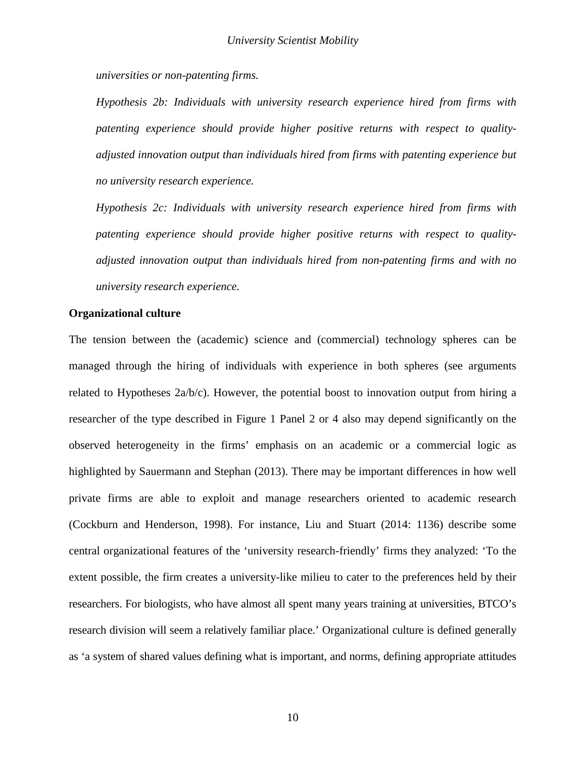*universities or non-patenting firms.*

*Hypothesis 2b: Individuals with university research experience hired from firms with patenting experience should provide higher positive returns with respect to qualityadjusted innovation output than individuals hired from firms with patenting experience but no university research experience.*

*Hypothesis 2c: Individuals with university research experience hired from firms with patenting experience should provide higher positive returns with respect to qualityadjusted innovation output than individuals hired from non-patenting firms and with no university research experience.*

## **Organizational culture**

The tension between the (academic) science and (commercial) technology spheres can be managed through the hiring of individuals with experience in both spheres (see arguments related to Hypotheses  $2a/b/c$ . However, the potential boost to innovation output from hiring a researcher of the type described in Figure 1 Panel 2 or 4 also may depend significantly on the observed heterogeneity in the firms' emphasis on an academic or a commercial logic as highlighted by Sauermann and Stephan [\(2013\)](#page-37-3). There may be important differences in how well private firms are able to exploit and manage researchers oriented to academic research [\(Cockburn and Henderson, 1998\)](#page-34-8). For instance, Liu and Stuart [\(2014: 1136\)](#page-36-10) describe some central organizational features of the 'university research-friendly' firms they analyzed: 'To the extent possible, the firm creates a university-like milieu to cater to the preferences held by their researchers. For biologists, who have almost all spent many years training at universities, BTCO's research division will seem a relatively familiar place.' Organizational culture is defined generally as 'a system of shared values defining what is important, and norms, defining appropriate attitudes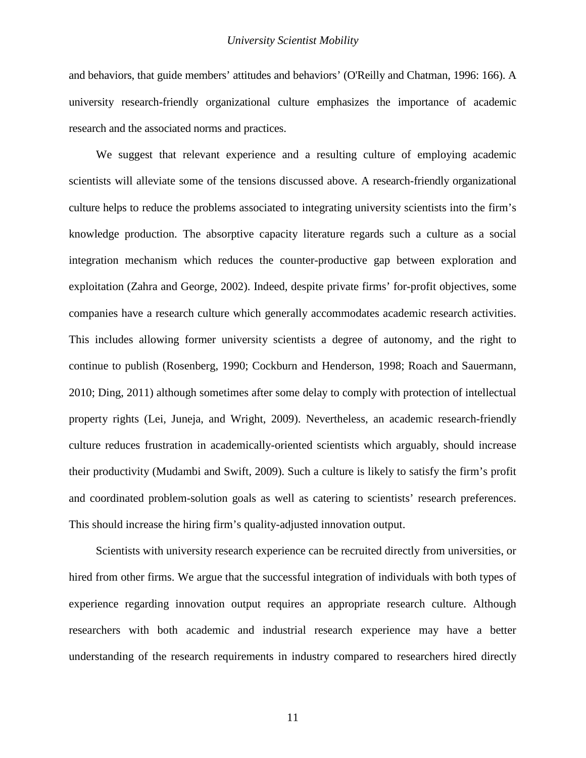and behaviors, that guide members' attitudes and behaviors' [\(O'Reilly and Chatman, 1996: 166\)](#page-36-11). A university research-friendly organizational culture emphasizes the importance of academic research and the associated norms and practices.

We suggest that relevant experience and a resulting culture of employing academic scientists will alleviate some of the tensions discussed above. A research-friendly organizational culture helps to reduce the problems associated to integrating university scientists into the firm's knowledge production. The absorptive capacity literature regards such a culture as a social integration mechanism which reduces the counter-productive gap between exploration and exploitation [\(Zahra and George, 2002\)](#page-37-9). Indeed, despite private firms' for-profit objectives, some companies have a research culture which generally accommodates academic research activities. This includes allowing former university scientists a degree of autonomy, and the right to continue to publish [\(Rosenberg, 1990;](#page-36-12) [Cockburn and Henderson, 1998;](#page-34-8) [Roach and Sauermann,](#page-36-8)  [2010;](#page-36-8) [Ding, 2011\)](#page-35-8) although sometimes after some delay to comply with protection of intellectual property rights [\(Lei, Juneja, and Wright, 2009\)](#page-36-13). Nevertheless, an academic research-friendly culture reduces frustration in academically-oriented scientists which arguably, should increase their productivity [\(Mudambi and Swift, 2009\)](#page-36-14). Such a culture is likely to satisfy the firm's profit and coordinated problem-solution goals as well as catering to scientists' research preferences. This should increase the hiring firm's quality-adjusted innovation output.

Scientists with university research experience can be recruited directly from universities, or hired from other firms. We argue that the successful integration of individuals with both types of experience regarding innovation output requires an appropriate research culture. Although researchers with both academic and industrial research experience may have a better understanding of the research requirements in industry compared to researchers hired directly

11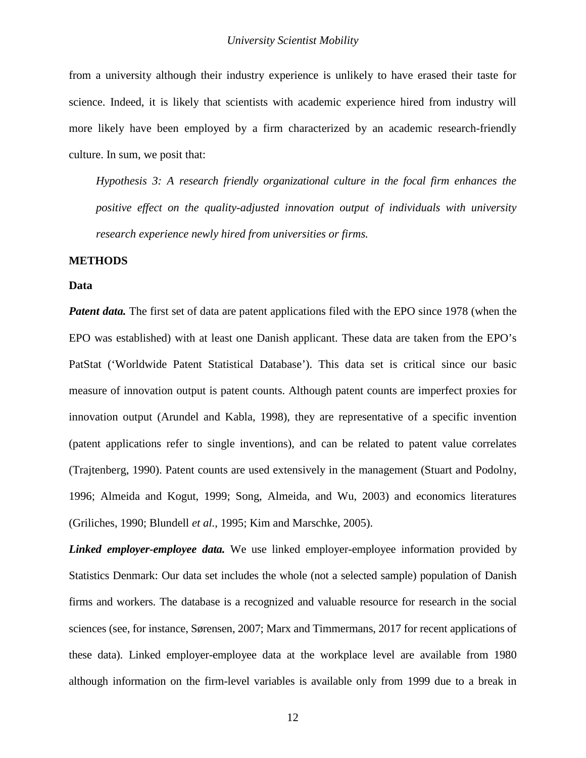from a university although their industry experience is unlikely to have erased their taste for science. Indeed, it is likely that scientists with academic experience hired from industry will more likely have been employed by a firm characterized by an academic research-friendly culture. In sum, we posit that:

*Hypothesis 3: A research friendly organizational culture in the focal firm enhances the positive effect on the quality-adjusted innovation output of individuals with university research experience newly hired from universities or firms.*

### **METHODS**

#### **Data**

*Patent data.* The first set of data are patent applications filed with the EPO since 1978 (when the EPO was established) with at least one Danish applicant. These data are taken from the EPO's PatStat ('Worldwide Patent Statistical Database'). This data set is critical since our basic measure of innovation output is patent counts. Although patent counts are imperfect proxies for innovation output [\(Arundel and Kabla, 1998\)](#page-34-9), they are representative of a specific invention (patent applications refer to single inventions), and can be related to patent value correlates [\(Trajtenberg, 1990\)](#page-37-10). Patent counts are used extensively in the management [\(Stuart and Podolny,](#page-37-11)  [1996;](#page-37-11) [Almeida and Kogut, 1999;](#page-34-0) [Song, Almeida, and Wu, 2003\)](#page-37-12) and economics literatures [\(Griliches, 1990;](#page-35-9) [Blundell](#page-34-1) *et al.*, 1995; [Kim and Marschke, 2005\)](#page-36-15).

*Linked employer-employee data.* We use linked employer-employee information provided by Statistics Denmark: Our data set includes the whole (not a selected sample) population of Danish firms and workers. The database is a recognized and valuable resource for research in the social sciences (see, for instance, [Sørensen, 2007;](#page-37-13) [Marx and Timmermans, 2017](#page-36-16) for recent applications of [these data\)](#page-36-16). Linked employer-employee data at the workplace level are available from 1980 although information on the firm-level variables is available only from 1999 due to a break in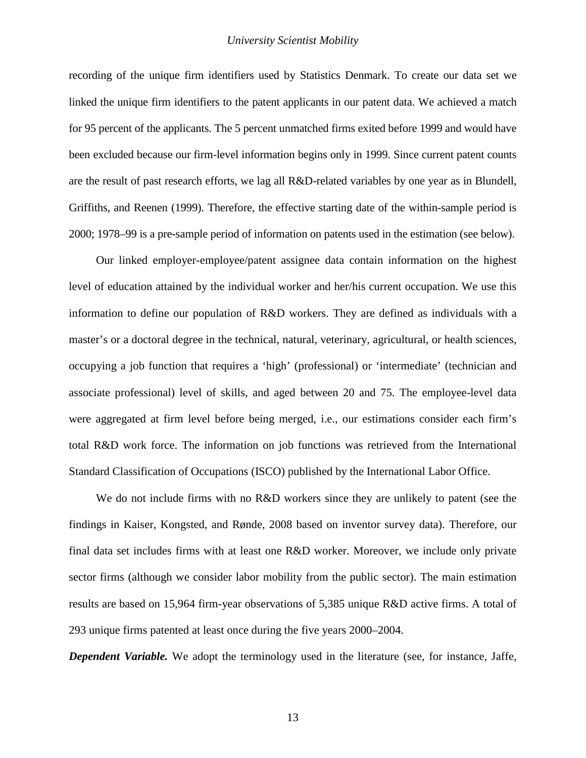recording of the unique firm identifiers used by Statistics Denmark. To create our data set we linked the unique firm identifiers to the patent applicants in our patent data. We achieved a match for 95 percent of the applicants. The 5 percent unmatched firms exited before 1999 and would have been excluded because our firm-level information begins only in 1999. Since current patent counts are the result of past research efforts, we lag all R&D-related variables by one year as in Blundell, Griffiths, and Reenen [\(1999\)](#page-34-10). Therefore, the effective starting date of the within-sample period is 2000; 1978–99 is a pre-sample period of information on patents used in the estimation (see below).

Our linked employer-employee/patent assignee data contain information on the highest level of education attained by the individual worker and her/his current occupation. We use this information to define our population of R&D workers. They are defined as individuals with a master's or a doctoral degree in the technical, natural, veterinary, agricultural, or health sciences, occupying a job function that requires a 'high' (professional) or 'intermediate' (technician and associate professional) level of skills, and aged between 20 and 75. The employee-level data were aggregated at firm level before being merged, i.e., our estimations consider each firm's total R&D work force. The information on job functions was retrieved from the International Standard Classification of Occupations (ISCO) published by the International Labor Office.

We do not include firms with no R&D workers since they are unlikely to patent [\(see the](#page-36-17)  [findings in Kaiser, Kongsted, and Rønde, 2008](#page-36-17) based on inventor survey data). Therefore, our final data set includes firms with at least one R&D worker. Moreover, we include only private sector firms (although we consider labor mobility from the public sector). The main estimation results are based on 15,964 firm-year observations of 5,385 unique R&D active firms. A total of 293 unique firms patented at least once during the five years 2000–2004.

*Dependent Variable.* We adopt the terminology used in the literature (see, for instance, [Jaffe,](#page-36-18)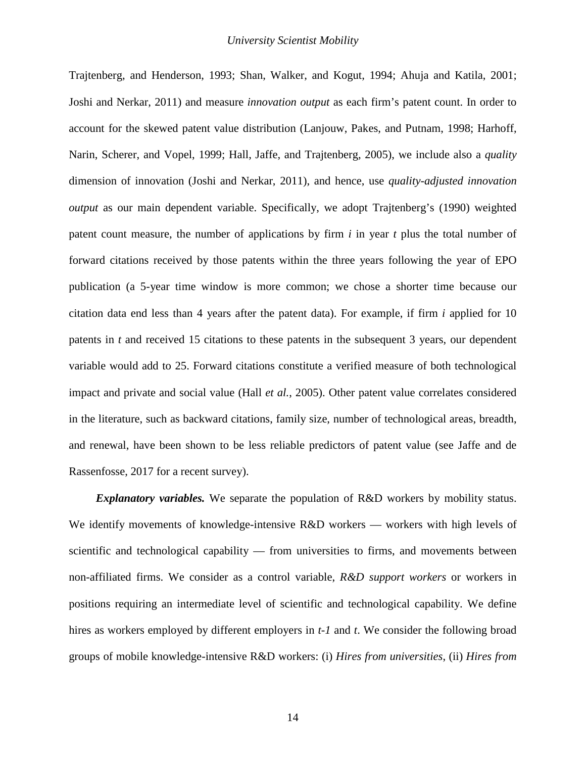[Trajtenberg, and Henderson, 1993;](#page-36-18) [Shan, Walker, and Kogut, 1994;](#page-37-14) [Ahuja and Katila, 2001;](#page-34-11) [Joshi and Nerkar, 2011\)](#page-36-19) and measure *innovation output* as each firm's patent count. In order to account for the skewed patent value distribution [\(Lanjouw, Pakes, and Putnam, 1998;](#page-36-20) [Harhoff,](#page-35-10)  [Narin, Scherer, and Vopel, 1999;](#page-35-10) [Hall, Jaffe, and Trajtenberg, 2005\)](#page-35-11), we include also a *quality*  dimension of innovation [\(Joshi and Nerkar, 2011\)](#page-36-19), and hence, use *quality-adjusted innovation output* as our main dependent variable. Specifically, we adopt Trajtenberg's [\(1990\)](#page-37-10) weighted patent count measure, the number of applications by firm *i* in year *t* plus the total number of forward citations received by those patents within the three years following the year of EPO publication (a 5-year time window is more common; we chose a shorter time because our citation data end less than 4 years after the patent data). For example, if firm *i* applied for 10 patents in *t* and received 15 citations to these patents in the subsequent 3 years, our dependent variable would add to 25. Forward citations constitute a verified measure of both technological impact and private and social value (Hall *et al.*[, 2005\)](#page-35-11). Other patent value correlates considered in the literature, such as backward citations, family size, number of technological areas, breadth, and renewal, have been shown to be less reliable predictors of patent value [\(see Jaffe and de](#page-36-21)  [Rassenfosse, 2017 for a recent survey\)](#page-36-21).

*Explanatory variables.* We separate the population of R&D workers by mobility status. We identify movements of knowledge-intensive R&D workers — workers with high levels of scientific and technological capability — from universities to firms, and movements between non-affiliated firms. We consider as a control variable, *R&D support workers* or workers in positions requiring an intermediate level of scientific and technological capability. We define hires as workers employed by different employers in *t-1* and *t*. We consider the following broad groups of mobile knowledge-intensive R&D workers: (i) *Hires from universities*, (ii) *Hires from*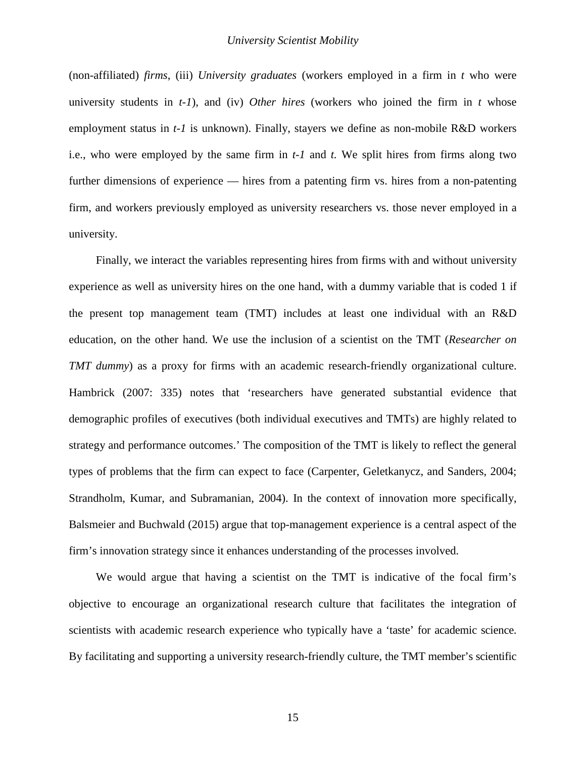(non-affiliated) *firms*, (iii) *University graduates* (workers employed in a firm in *t* who were university students in *t-1*), and (iv) *Other hires* (workers who joined the firm in *t* whose employment status in *t-1* is unknown). Finally, stayers we define as non-mobile R&D workers i.e., who were employed by the same firm in *t-1* and *t.* We split hires from firms along two further dimensions of experience — hires from a patenting firm vs. hires from a non-patenting firm, and workers previously employed as university researchers vs. those never employed in a university.

Finally, we interact the variables representing hires from firms with and without university experience as well as university hires on the one hand, with a dummy variable that is coded 1 if the present top management team (TMT) includes at least one individual with an R&D education, on the other hand. We use the inclusion of a scientist on the TMT (*Researcher on TMT dummy*) as a proxy for firms with an academic research-friendly organizational culture. Hambrick [\(2007: 335\)](#page-35-12) notes that 'researchers have generated substantial evidence that demographic profiles of executives (both individual executives and TMTs) are highly related to strategy and performance outcomes.' The composition of the TMT is likely to reflect the general types of problems that the firm can expect to face [\(Carpenter, Geletkanycz, and Sanders, 2004;](#page-34-12) [Strandholm, Kumar, and Subramanian, 2004\)](#page-37-15). In the context of innovation more specifically, Balsmeier and Buchwald [\(2015\)](#page-34-7) argue that top-management experience is a central aspect of the firm's innovation strategy since it enhances understanding of the processes involved.

We would argue that having a scientist on the TMT is indicative of the focal firm's objective to encourage an organizational research culture that facilitates the integration of scientists with academic research experience who typically have a 'taste' for academic science. By facilitating and supporting a university research-friendly culture, the TMT member's scientific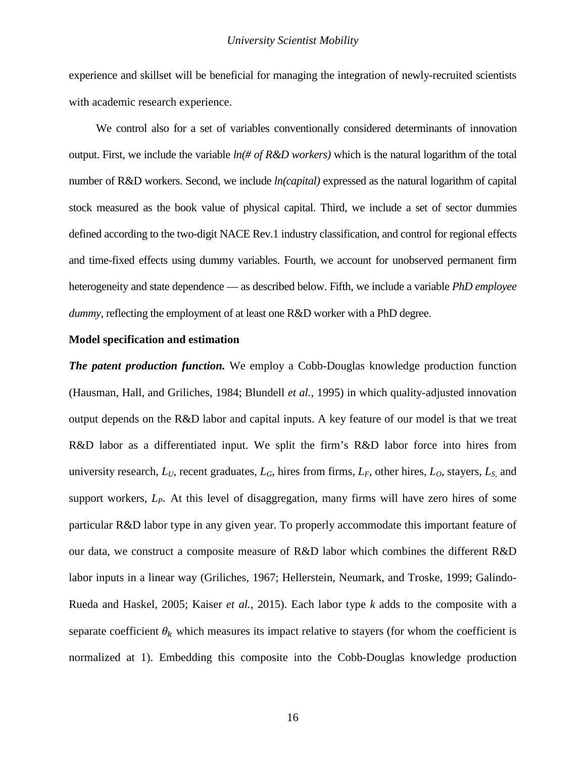experience and skillset will be beneficial for managing the integration of newly-recruited scientists with academic research experience.

We control also for a set of variables conventionally considered determinants of innovation output. First, we include the variable  $ln(\# of R\&D workers)$  which is the natural logarithm of the total number of R&D workers. Second, we include *ln(capital)* expressed as the natural logarithm of capital stock measured as the book value of physical capital. Third, we include a set of sector dummies defined according to the two-digit NACE Rev.1 industry classification, and control for regional effects and time-fixed effects using dummy variables. Fourth, we account for unobserved permanent firm heterogeneity and state dependence — as described below. Fifth, we include a variable *PhD employee dummy*, reflecting the employment of at least one R&D worker with a PhD degree.

## **Model specification and estimation**

*The patent production function.* We employ a Cobb-Douglas knowledge production function [\(Hausman, Hall, and Griliches, 1984;](#page-35-13) [Blundell](#page-34-1) *et al.*, 1995) in which quality-adjusted innovation output depends on the R&D labor and capital inputs. A key feature of our model is that we treat R&D labor as a differentiated input. We split the firm's R&D labor force into hires from university research,  $L_U$ , recent graduates,  $L_G$ , hires from firms,  $L_F$ , other hires,  $L_O$ , stayers,  $L_S$  and support workers,  $L_p$ . At this level of disaggregation, many firms will have zero hires of some particular R&D labor type in any given year. To properly accommodate this important feature of our data, we construct a composite measure of R&D labor which combines the different R&D labor inputs in a linear way [\(Griliches, 1967;](#page-35-14) [Hellerstein, Neumark, and Troske, 1999;](#page-35-15) [Galindo-](#page-35-16)[Rueda and Haskel, 2005;](#page-35-16) [Kaiser](#page-36-2) *et al.*, 2015). Each labor type *k* adds to the composite with a separate coefficient  $\theta_k$  which measures its impact relative to stayers (for whom the coefficient is normalized at 1). Embedding this composite into the Cobb-Douglas knowledge production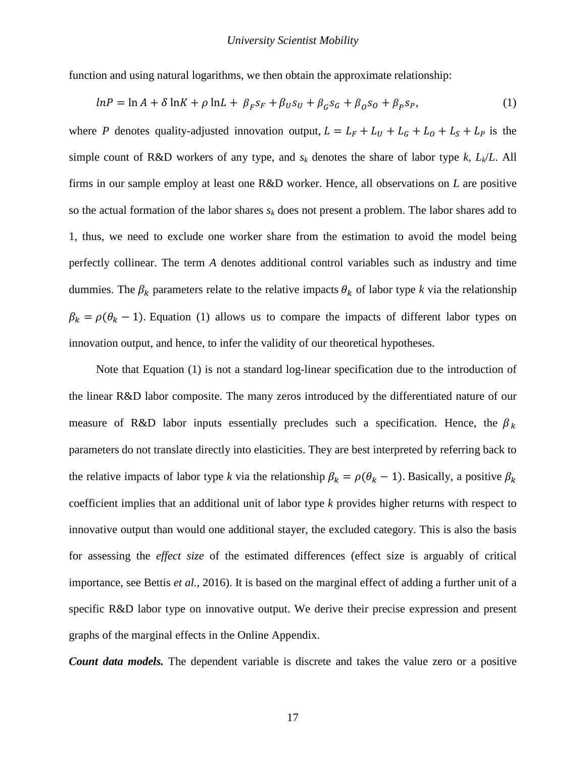function and using natural logarithms, we then obtain the approximate relationship:

$$
lnP = ln A + \delta lnK + \rho lnL + \beta_F s_F + \beta_U s_U + \beta_G s_G + \beta_O s_O + \beta_P s_P,
$$
\n(1)

where *P* denotes quality-adjusted innovation output,  $L = L_F + L_U + L_G + L_0 + L_S + L_P$  is the simple count of R&D workers of any type, and  $s_k$  denotes the share of labor type  $k$ ,  $L_k/L$ . All firms in our sample employ at least one R&D worker. Hence, all observations on *L* are positive so the actual formation of the labor shares  $s_k$  does not present a problem. The labor shares add to 1, thus, we need to exclude one worker share from the estimation to avoid the model being perfectly collinear. The term *A* denotes additional control variables such as industry and time dummies. The  $\beta_k$  parameters relate to the relative impacts  $\theta_k$  of labor type k via the relationship  $\beta_k = \rho(\theta_k - 1)$ . Equation (1) allows us to compare the impacts of different labor types on innovation output, and hence, to infer the validity of our theoretical hypotheses.

Note that Equation (1) is not a standard log-linear specification due to the introduction of the linear R&D labor composite. The many zeros introduced by the differentiated nature of our measure of R&D labor inputs essentially precludes such a specification. Hence, the  $\beta_k$ parameters do not translate directly into elasticities. They are best interpreted by referring back to the relative impacts of labor type *k* via the relationship  $\beta_k = \rho(\theta_k - 1)$ . Basically, a positive  $\beta_k$ coefficient implies that an additional unit of labor type *k* provides higher returns with respect to innovative output than would one additional stayer, the excluded category. This is also the basis for assessing the *effect size* of the estimated differences [\(effect size is arguably of critical](#page-34-13)  [importance, see Bettis](#page-34-13) *et al.*, 2016). It is based on the marginal effect of adding a further unit of a specific R&D labor type on innovative output. We derive their precise expression and present graphs of the marginal effects in the Online Appendix.

*Count data models.* The dependent variable is discrete and takes the value zero or a positive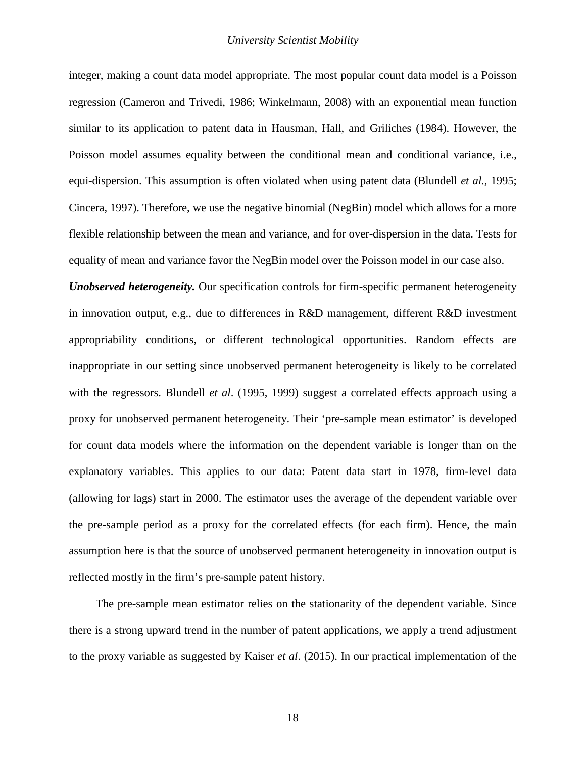integer, making a count data model appropriate. The most popular count data model is a Poisson regression [\(Cameron and Trivedi, 1986;](#page-34-14) [Winkelmann, 2008\)](#page-37-16) with an exponential mean function similar to its application to patent data in Hausman, Hall, and Griliches [\(1984\)](#page-35-13). However, the Poisson model assumes equality between the conditional mean and conditional variance, i.e., equi-dispersion. This assumption is often violated when using patent data [\(Blundell](#page-34-1) *et al.*, 1995; [Cincera, 1997\)](#page-34-15). Therefore, we use the negative binomial (NegBin) model which allows for a more flexible relationship between the mean and variance, and for over-dispersion in the data. Tests for equality of mean and variance favor the NegBin model over the Poisson model in our case also.

*Unobserved heterogeneity.* Our specification controls for firm-specific permanent heterogeneity in innovation output, e.g., due to differences in R&D management, different R&D investment appropriability conditions, or different technological opportunities. Random effects are inappropriate in our setting since unobserved permanent heterogeneity is likely to be correlated with the regressors. Blundell *et al*. [\(1995,](#page-34-1) [1999\)](#page-34-10) suggest a correlated effects approach using a proxy for unobserved permanent heterogeneity. Their 'pre-sample mean estimator' is developed for count data models where the information on the dependent variable is longer than on the explanatory variables. This applies to our data: Patent data start in 1978, firm-level data (allowing for lags) start in 2000. The estimator uses the average of the dependent variable over the pre-sample period as a proxy for the correlated effects (for each firm). Hence, the main assumption here is that the source of unobserved permanent heterogeneity in innovation output is reflected mostly in the firm's pre-sample patent history.

The pre-sample mean estimator relies on the stationarity of the dependent variable. Since there is a strong upward trend in the number of patent applications, we apply a trend adjustment to the proxy variable as suggested by Kaiser *et al*. [\(2015\)](#page-36-2). In our practical implementation of the

18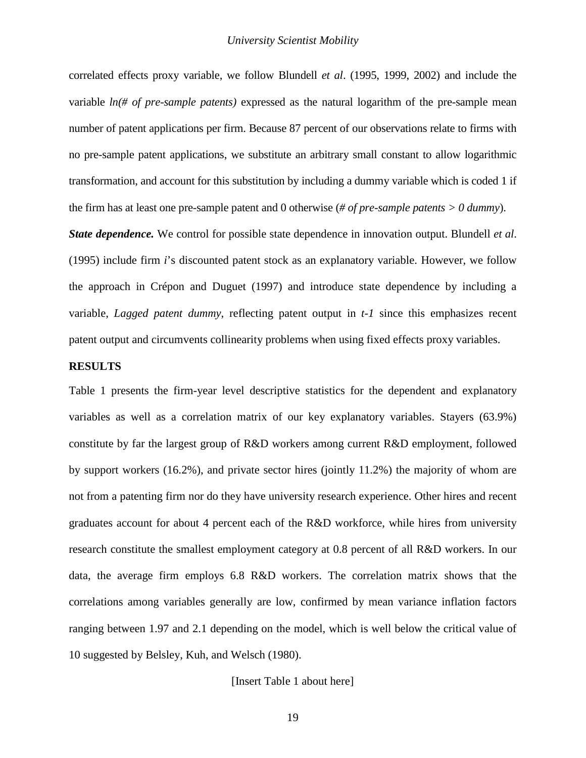correlated effects proxy variable, we follow Blundell *et al*. [\(1995,](#page-34-1) [1999,](#page-34-10) [2002\)](#page-34-16) and include the variable *ln(# of pre-sample patents)* expressed as the natural logarithm of the pre-sample mean number of patent applications per firm. Because 87 percent of our observations relate to firms with no pre-sample patent applications, we substitute an arbitrary small constant to allow logarithmic transformation, and account for this substitution by including a dummy variable which is coded 1 if the firm has at least one pre-sample patent and 0 otherwise (*# of pre-sample patents > 0 dummy*).

*State dependence.* We control for possible state dependence in innovation output. Blundell *et al*. [\(1995\)](#page-34-1) include firm *i*'s discounted patent stock as an explanatory variable. However, we follow the approach in Crépon and Duguet [\(1997\)](#page-35-17) and introduce state dependence by including a variable, *Lagged patent dummy*, reflecting patent output in *t-1* since this emphasizes recent patent output and circumvents collinearity problems when using fixed effects proxy variables.

## **RESULTS**

Table 1 presents the firm-year level descriptive statistics for the dependent and explanatory variables as well as a correlation matrix of our key explanatory variables. Stayers (63.9%) constitute by far the largest group of R&D workers among current R&D employment, followed by support workers (16.2%), and private sector hires (jointly 11.2%) the majority of whom are not from a patenting firm nor do they have university research experience. Other hires and recent graduates account for about 4 percent each of the R&D workforce, while hires from university research constitute the smallest employment category at 0.8 percent of all R&D workers. In our data, the average firm employs 6.8 R&D workers. The correlation matrix shows that the correlations among variables generally are low, confirmed by mean variance inflation factors ranging between 1.97 and 2.1 depending on the model, which is well below the critical value of 10 suggested by Belsley, Kuh, and Welsch [\(1980\)](#page-34-17).

## [Insert Table 1 about here]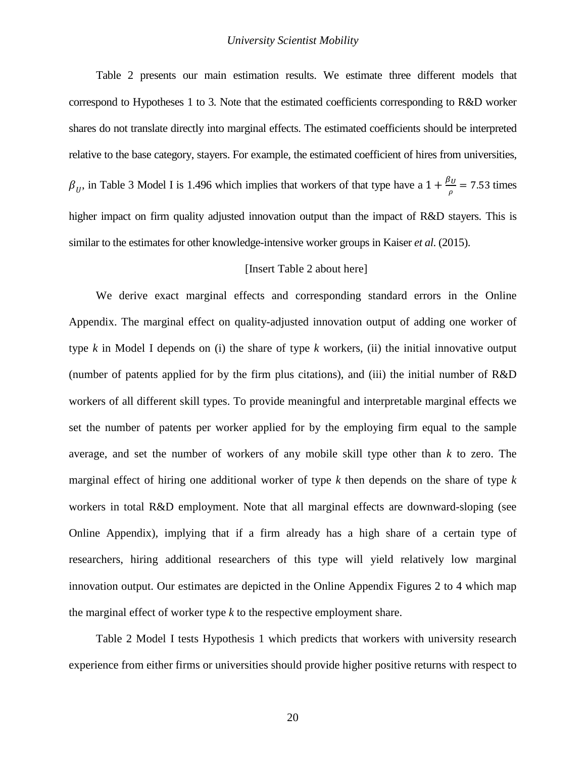Table 2 presents our main estimation results. We estimate three different models that correspond to Hypotheses 1 to 3. Note that the estimated coefficients corresponding to R&D worker shares do not translate directly into marginal effects. The estimated coefficients should be interpreted relative to the base category, stayers. For example, the estimated coefficient of hires from universities,  $\beta_U$ , in Table 3 Model I is 1.496 which implies that workers of that type have a  $1 + \frac{\beta_U}{\rho} = 7.53$  times higher impact on firm quality adjusted innovation output than the impact of R&D stayers. This is similar to the estimates for other knowledge-intensive worker groups in Kaiser *et al*. [\(2015\)](#page-36-2).

## [Insert Table 2 about here]

We derive exact marginal effects and corresponding standard errors in the Online Appendix. The marginal effect on quality-adjusted innovation output of adding one worker of type *k* in Model I depends on (i) the share of type *k* workers, (ii) the initial innovative output (number of patents applied for by the firm plus citations), and (iii) the initial number of R&D workers of all different skill types. To provide meaningful and interpretable marginal effects we set the number of patents per worker applied for by the employing firm equal to the sample average, and set the number of workers of any mobile skill type other than *k* to zero. The marginal effect of hiring one additional worker of type *k* then depends on the share of type *k* workers in total R&D employment. Note that all marginal effects are downward-sloping (see Online Appendix), implying that if a firm already has a high share of a certain type of researchers, hiring additional researchers of this type will yield relatively low marginal innovation output. Our estimates are depicted in the Online Appendix Figures 2 to 4 which map the marginal effect of worker type *k* to the respective employment share.

Table 2 Model I tests Hypothesis 1 which predicts that workers with university research experience from either firms or universities should provide higher positive returns with respect to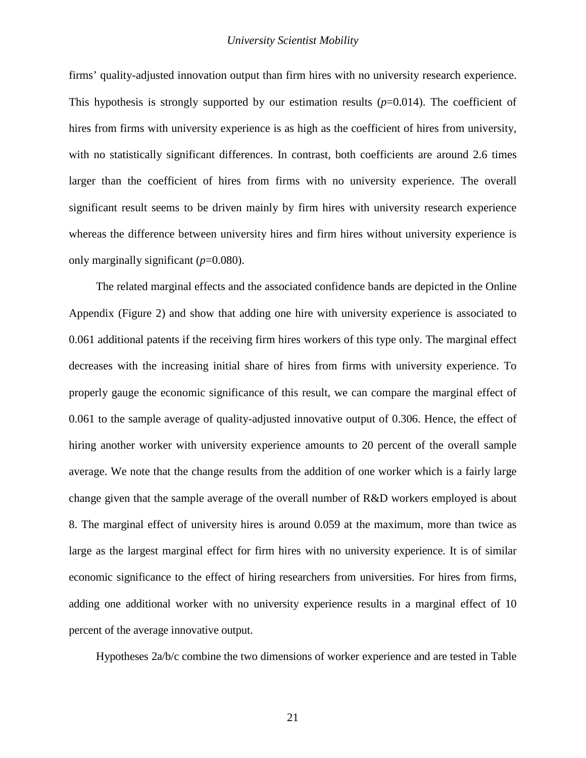firms' quality-adjusted innovation output than firm hires with no university research experience. This hypothesis is strongly supported by our estimation results (*p*=0.014). The coefficient of hires from firms with university experience is as high as the coefficient of hires from university, with no statistically significant differences. In contrast, both coefficients are around 2.6 times larger than the coefficient of hires from firms with no university experience. The overall significant result seems to be driven mainly by firm hires with university research experience whereas the difference between university hires and firm hires without university experience is only marginally significant (*p*=0.080).

The related marginal effects and the associated confidence bands are depicted in the Online Appendix (Figure 2) and show that adding one hire with university experience is associated to 0.061 additional patents if the receiving firm hires workers of this type only. The marginal effect decreases with the increasing initial share of hires from firms with university experience. To properly gauge the economic significance of this result, we can compare the marginal effect of 0.061 to the sample average of quality-adjusted innovative output of 0.306. Hence, the effect of hiring another worker with university experience amounts to 20 percent of the overall sample average. We note that the change results from the addition of one worker which is a fairly large change given that the sample average of the overall number of R&D workers employed is about 8. The marginal effect of university hires is around 0.059 at the maximum, more than twice as large as the largest marginal effect for firm hires with no university experience. It is of similar economic significance to the effect of hiring researchers from universities. For hires from firms, adding one additional worker with no university experience results in a marginal effect of 10 percent of the average innovative output.

Hypotheses 2a/b/c combine the two dimensions of worker experience and are tested in Table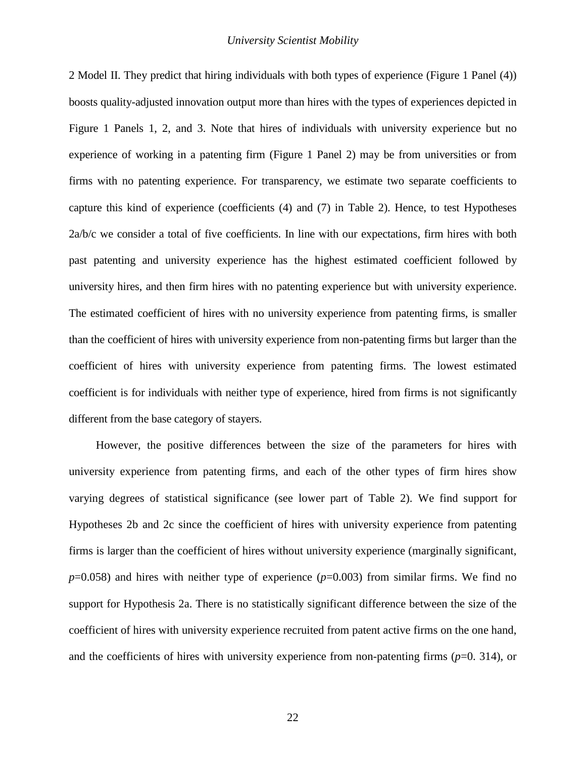2 Model II. They predict that hiring individuals with both types of experience (Figure 1 Panel (4)) boosts quality-adjusted innovation output more than hires with the types of experiences depicted in Figure 1 Panels 1, 2, and 3. Note that hires of individuals with university experience but no experience of working in a patenting firm (Figure 1 Panel 2) may be from universities or from firms with no patenting experience. For transparency, we estimate two separate coefficients to capture this kind of experience (coefficients (4) and (7) in Table 2). Hence, to test Hypotheses 2a/b/c we consider a total of five coefficients. In line with our expectations, firm hires with both past patenting and university experience has the highest estimated coefficient followed by university hires, and then firm hires with no patenting experience but with university experience. The estimated coefficient of hires with no university experience from patenting firms, is smaller than the coefficient of hires with university experience from non-patenting firms but larger than the coefficient of hires with university experience from patenting firms. The lowest estimated coefficient is for individuals with neither type of experience, hired from firms is not significantly different from the base category of stayers.

However, the positive differences between the size of the parameters for hires with university experience from patenting firms, and each of the other types of firm hires show varying degrees of statistical significance (see lower part of Table 2). We find support for Hypotheses 2b and 2c since the coefficient of hires with university experience from patenting firms is larger than the coefficient of hires without university experience (marginally significant,  $p=0.058$ ) and hires with neither type of experience ( $p=0.003$ ) from similar firms. We find no support for Hypothesis 2a. There is no statistically significant difference between the size of the coefficient of hires with university experience recruited from patent active firms on the one hand, and the coefficients of hires with university experience from non-patenting firms  $(p=0. 314)$ , or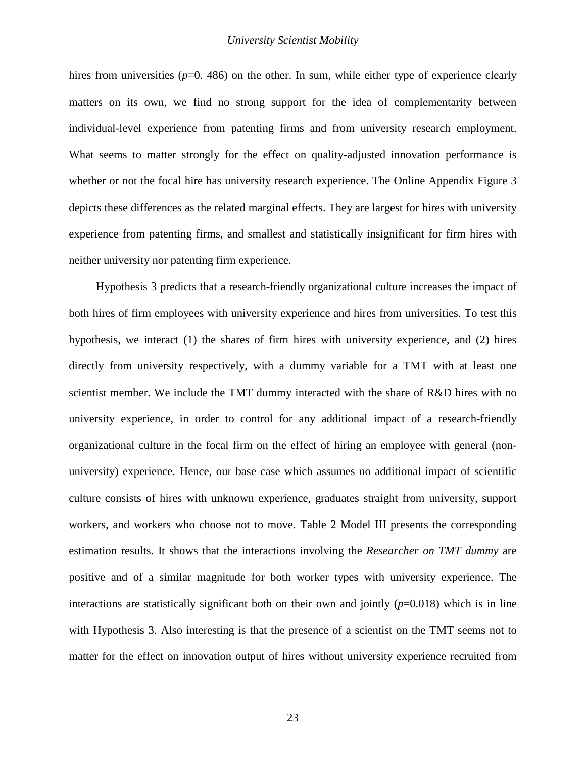hires from universities  $(p=0, 486)$  on the other. In sum, while either type of experience clearly matters on its own, we find no strong support for the idea of complementarity between individual-level experience from patenting firms and from university research employment. What seems to matter strongly for the effect on quality-adjusted innovation performance is whether or not the focal hire has university research experience. The Online Appendix Figure 3 depicts these differences as the related marginal effects. They are largest for hires with university experience from patenting firms, and smallest and statistically insignificant for firm hires with neither university nor patenting firm experience.

Hypothesis 3 predicts that a research-friendly organizational culture increases the impact of both hires of firm employees with university experience and hires from universities. To test this hypothesis, we interact (1) the shares of firm hires with university experience, and (2) hires directly from university respectively, with a dummy variable for a TMT with at least one scientist member. We include the TMT dummy interacted with the share of R&D hires with no university experience, in order to control for any additional impact of a research-friendly organizational culture in the focal firm on the effect of hiring an employee with general (nonuniversity) experience. Hence, our base case which assumes no additional impact of scientific culture consists of hires with unknown experience, graduates straight from university, support workers, and workers who choose not to move. Table 2 Model III presents the corresponding estimation results. It shows that the interactions involving the *Researcher on TMT dummy* are positive and of a similar magnitude for both worker types with university experience. The interactions are statistically significant both on their own and jointly  $(p=0.018)$  which is in line with Hypothesis 3. Also interesting is that the presence of a scientist on the TMT seems not to matter for the effect on innovation output of hires without university experience recruited from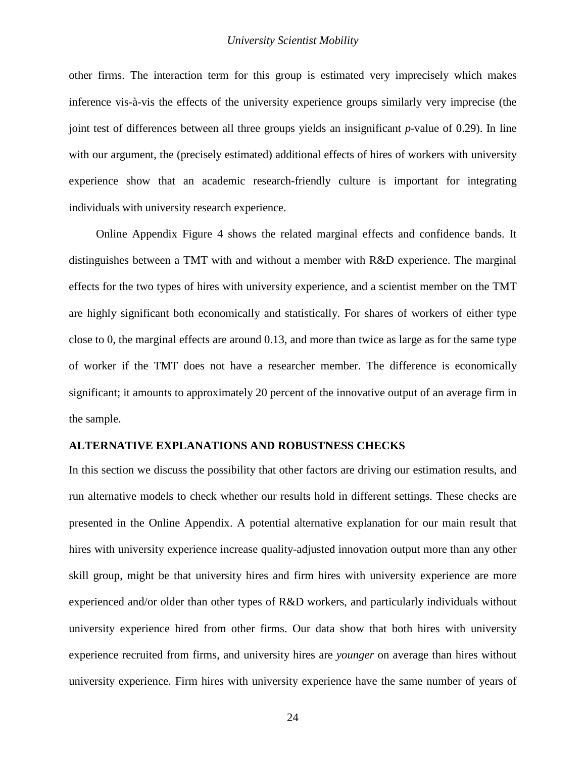other firms. The interaction term for this group is estimated very imprecisely which makes inference vis-à-vis the effects of the university experience groups similarly very imprecise (the joint test of differences between all three groups yields an insignificant *p*-value of 0.29). In line with our argument, the (precisely estimated) additional effects of hires of workers with university experience show that an academic research-friendly culture is important for integrating individuals with university research experience.

Online Appendix Figure 4 shows the related marginal effects and confidence bands. It distinguishes between a TMT with and without a member with R&D experience. The marginal effects for the two types of hires with university experience, and a scientist member on the TMT are highly significant both economically and statistically. For shares of workers of either type close to 0, the marginal effects are around 0.13, and more than twice as large as for the same type of worker if the TMT does not have a researcher member. The difference is economically significant; it amounts to approximately 20 percent of the innovative output of an average firm in the sample.

## **ALTERNATIVE EXPLANATIONS AND ROBUSTNESS CHECKS**

In this section we discuss the possibility that other factors are driving our estimation results, and run alternative models to check whether our results hold in different settings. These checks are presented in the Online Appendix. A potential alternative explanation for our main result that hires with university experience increase quality-adjusted innovation output more than any other skill group, might be that university hires and firm hires with university experience are more experienced and/or older than other types of R&D workers, and particularly individuals without university experience hired from other firms. Our data show that both hires with university experience recruited from firms, and university hires are *younger* on average than hires without university experience. Firm hires with university experience have the same number of years of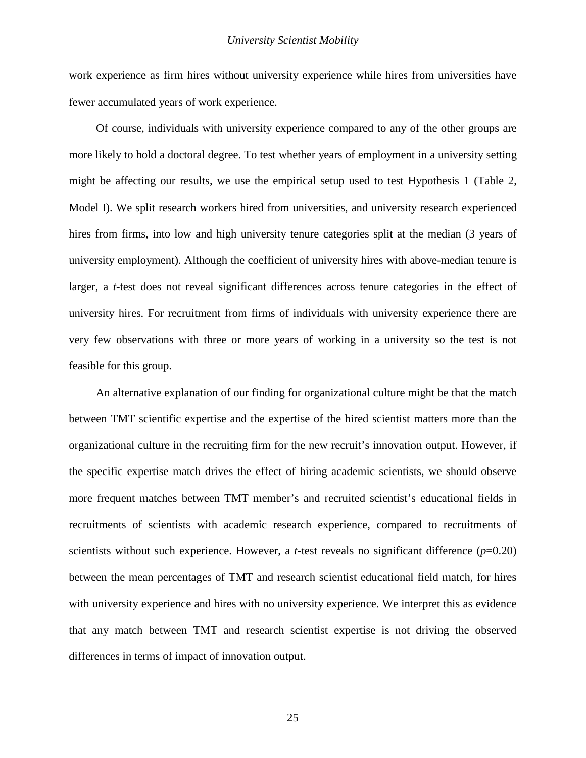work experience as firm hires without university experience while hires from universities have fewer accumulated years of work experience.

Of course, individuals with university experience compared to any of the other groups are more likely to hold a doctoral degree. To test whether years of employment in a university setting might be affecting our results, we use the empirical setup used to test Hypothesis 1 (Table 2, Model I). We split research workers hired from universities, and university research experienced hires from firms, into low and high university tenure categories split at the median (3 years of university employment). Although the coefficient of university hires with above-median tenure is larger, a *t*-test does not reveal significant differences across tenure categories in the effect of university hires. For recruitment from firms of individuals with university experience there are very few observations with three or more years of working in a university so the test is not feasible for this group.

An alternative explanation of our finding for organizational culture might be that the match between TMT scientific expertise and the expertise of the hired scientist matters more than the organizational culture in the recruiting firm for the new recruit's innovation output. However, if the specific expertise match drives the effect of hiring academic scientists, we should observe more frequent matches between TMT member's and recruited scientist's educational fields in recruitments of scientists with academic research experience, compared to recruitments of scientists without such experience. However, a *t*-test reveals no significant difference  $(p=0.20)$ between the mean percentages of TMT and research scientist educational field match, for hires with university experience and hires with no university experience. We interpret this as evidence that any match between TMT and research scientist expertise is not driving the observed differences in terms of impact of innovation output.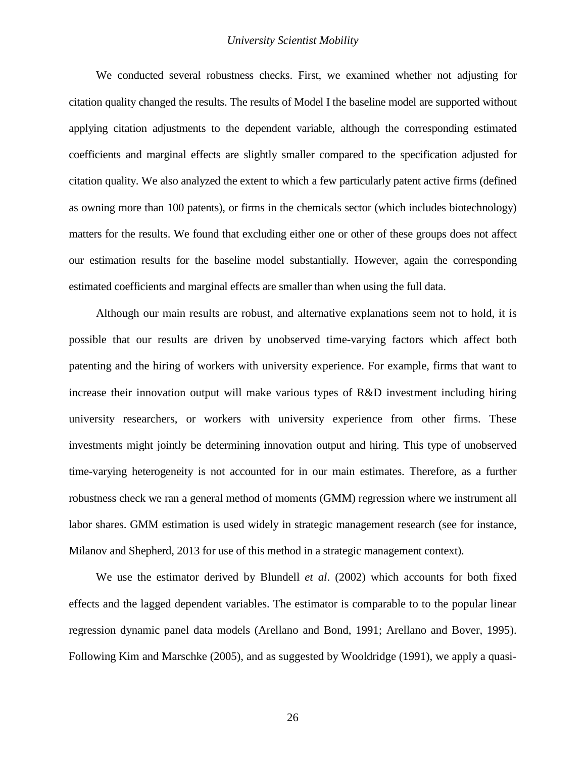We conducted several robustness checks. First, we examined whether not adjusting for citation quality changed the results. The results of Model I the baseline model are supported without applying citation adjustments to the dependent variable, although the corresponding estimated coefficients and marginal effects are slightly smaller compared to the specification adjusted for citation quality. We also analyzed the extent to which a few particularly patent active firms (defined as owning more than 100 patents), or firms in the chemicals sector (which includes biotechnology) matters for the results. We found that excluding either one or other of these groups does not affect our estimation results for the baseline model substantially. However, again the corresponding estimated coefficients and marginal effects are smaller than when using the full data.

Although our main results are robust, and alternative explanations seem not to hold, it is possible that our results are driven by unobserved time-varying factors which affect both patenting and the hiring of workers with university experience. For example, firms that want to increase their innovation output will make various types of R&D investment including hiring university researchers, or workers with university experience from other firms. These investments might jointly be determining innovation output and hiring. This type of unobserved time-varying heterogeneity is not accounted for in our main estimates. Therefore, as a further robustness check we ran a general method of moments (GMM) regression where we instrument all labor shares. GMM estimation is used widely in strategic management research [\(see for instance,](#page-36-22)  [Milanov and Shepherd, 2013 for use of this method in a](#page-36-22) strategic management context).

We use the estimator derived by Blundell *et al*. [\(2002\)](#page-34-16) which accounts for both fixed effects and the lagged dependent variables. The estimator is comparable to to the popular linear regression dynamic panel data models [\(Arellano and Bond, 1991;](#page-34-18) [Arellano and Bover, 1995\)](#page-34-19). Following Kim and Marschke [\(2005\)](#page-36-15), and as suggested by Wooldridge [\(1991\)](#page-37-17), we apply a quasi-

26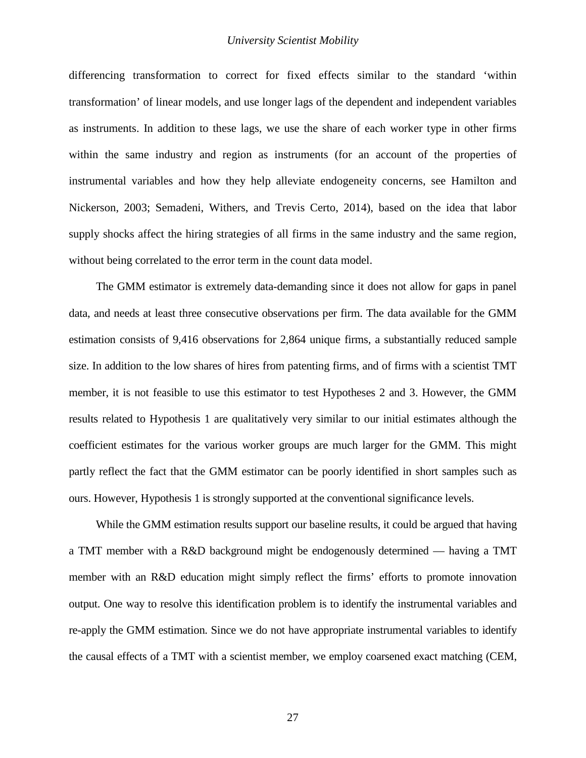differencing transformation to correct for fixed effects similar to the standard 'within transformation' of linear models, and use longer lags of the dependent and independent variables as instruments. In addition to these lags, we use the share of each worker type in other firms within the same industry and region as instruments (for an account of the properties of instrumental variables and how they help alleviate endogeneity concerns, see [Hamilton and](#page-35-18)  [Nickerson, 2003;](#page-35-18) [Semadeni, Withers, and Trevis Certo, 2014\)](#page-37-18), based on the idea that labor supply shocks affect the hiring strategies of all firms in the same industry and the same region, without being correlated to the error term in the count data model.

The GMM estimator is extremely data-demanding since it does not allow for gaps in panel data, and needs at least three consecutive observations per firm. The data available for the GMM estimation consists of 9,416 observations for 2,864 unique firms, a substantially reduced sample size. In addition to the low shares of hires from patenting firms, and of firms with a scientist TMT member, it is not feasible to use this estimator to test Hypotheses 2 and 3. However, the GMM results related to Hypothesis 1 are qualitatively very similar to our initial estimates although the coefficient estimates for the various worker groups are much larger for the GMM. This might partly reflect the fact that the GMM estimator can be poorly identified in short samples such as ours. However, Hypothesis 1 is strongly supported at the conventional significance levels.

While the GMM estimation results support our baseline results, it could be argued that having a TMT member with a R&D background might be endogenously determined — having a TMT member with an R&D education might simply reflect the firms' efforts to promote innovation output. One way to resolve this identification problem is to identify the instrumental variables and re-apply the GMM estimation. Since we do not have appropriate instrumental variables to identify the causal effects of a TMT with a scientist member, we employ coarsened exact matching [\(CEM,](#page-35-19)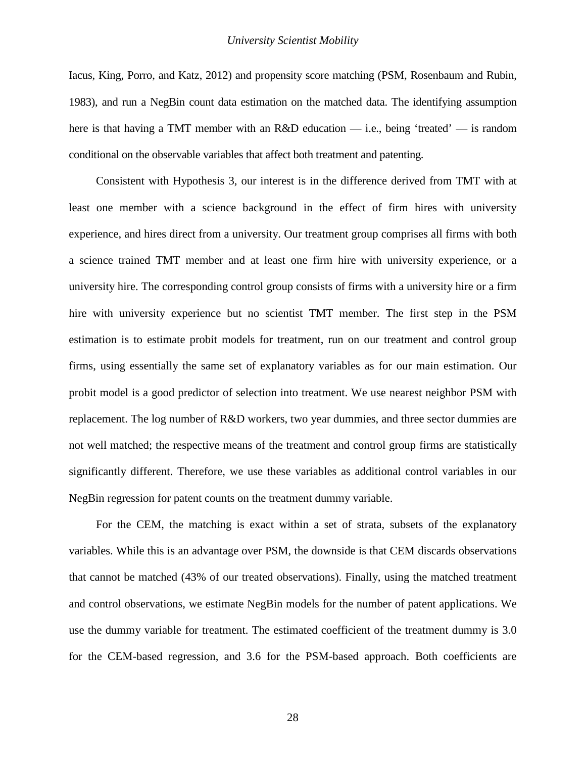[Iacus, King, Porro, and Katz, 2012\)](#page-35-19) and propensity score matching [\(PSM, Rosenbaum and Rubin,](#page-36-23)  [1983\)](#page-36-23), and run a NegBin count data estimation on the matched data. The identifying assumption here is that having a TMT member with an R&D education — i.e., being 'treated' — is random conditional on the observable variables that affect both treatment and patenting.

Consistent with Hypothesis 3, our interest is in the difference derived from TMT with at least one member with a science background in the effect of firm hires with university experience, and hires direct from a university. Our treatment group comprises all firms with both a science trained TMT member and at least one firm hire with university experience, or a university hire. The corresponding control group consists of firms with a university hire or a firm hire with university experience but no scientist TMT member. The first step in the PSM estimation is to estimate probit models for treatment, run on our treatment and control group firms, using essentially the same set of explanatory variables as for our main estimation. Our probit model is a good predictor of selection into treatment. We use nearest neighbor PSM with replacement. The log number of R&D workers, two year dummies, and three sector dummies are not well matched; the respective means of the treatment and control group firms are statistically significantly different. Therefore, we use these variables as additional control variables in our NegBin regression for patent counts on the treatment dummy variable.

For the CEM, the matching is exact within a set of strata, subsets of the explanatory variables. While this is an advantage over PSM, the downside is that CEM discards observations that cannot be matched (43% of our treated observations). Finally, using the matched treatment and control observations, we estimate NegBin models for the number of patent applications. We use the dummy variable for treatment. The estimated coefficient of the treatment dummy is 3.0 for the CEM-based regression, and 3.6 for the PSM-based approach. Both coefficients are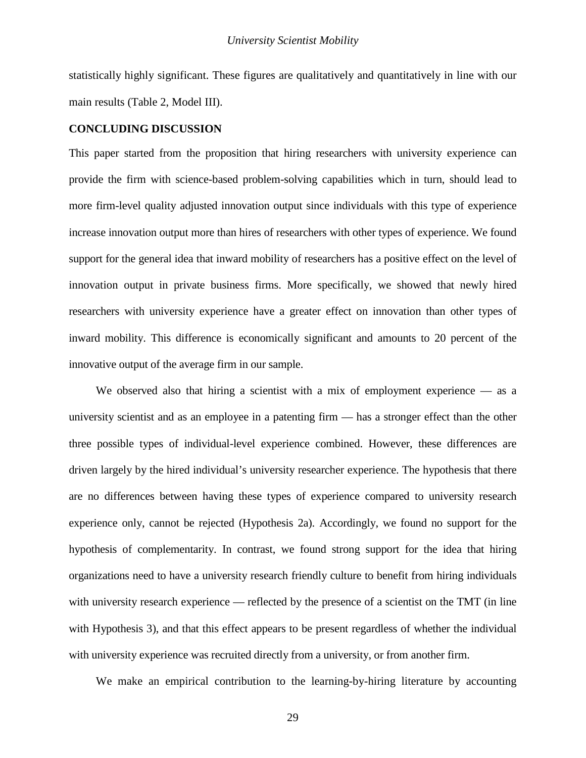statistically highly significant. These figures are qualitatively and quantitatively in line with our main results (Table 2, Model III).

## **CONCLUDING DISCUSSION**

This paper started from the proposition that hiring researchers with university experience can provide the firm with science-based problem-solving capabilities which in turn, should lead to more firm-level quality adjusted innovation output since individuals with this type of experience increase innovation output more than hires of researchers with other types of experience. We found support for the general idea that inward mobility of researchers has a positive effect on the level of innovation output in private business firms. More specifically, we showed that newly hired researchers with university experience have a greater effect on innovation than other types of inward mobility. This difference is economically significant and amounts to 20 percent of the innovative output of the average firm in our sample.

We observed also that hiring a scientist with a mix of employment experience — as a university scientist and as an employee in a patenting firm — has a stronger effect than the other three possible types of individual-level experience combined. However, these differences are driven largely by the hired individual's university researcher experience. The hypothesis that there are no differences between having these types of experience compared to university research experience only, cannot be rejected (Hypothesis 2a). Accordingly, we found no support for the hypothesis of complementarity. In contrast, we found strong support for the idea that hiring organizations need to have a university research friendly culture to benefit from hiring individuals with university research experience — reflected by the presence of a scientist on the TMT (in line with Hypothesis 3), and that this effect appears to be present regardless of whether the individual with university experience was recruited directly from a university, or from another firm.

We make an empirical contribution to the learning-by-hiring literature by accounting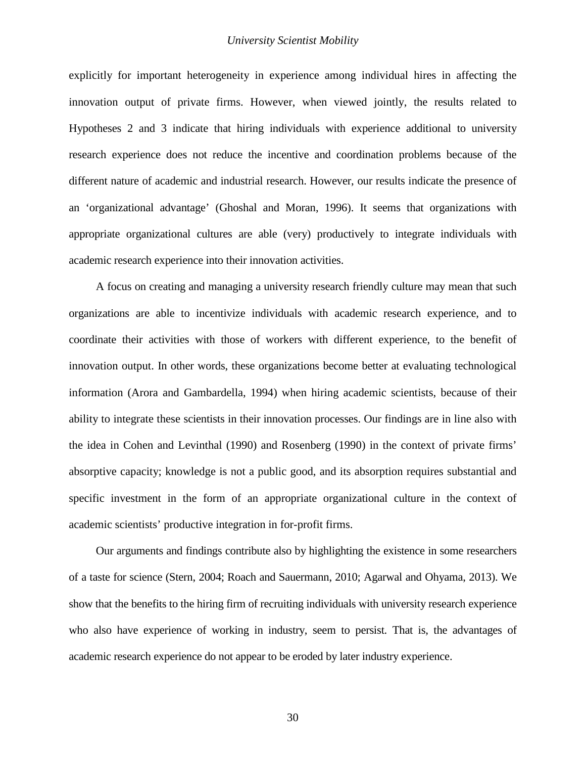explicitly for important heterogeneity in experience among individual hires in affecting the innovation output of private firms. However, when viewed jointly, the results related to Hypotheses 2 and 3 indicate that hiring individuals with experience additional to university research experience does not reduce the incentive and coordination problems because of the different nature of academic and industrial research. However, our results indicate the presence of an 'organizational advantage' [\(Ghoshal and Moran, 1996\)](#page-35-20). It seems that organizations with appropriate organizational cultures are able (very) productively to integrate individuals with academic research experience into their innovation activities.

A focus on creating and managing a university research friendly culture may mean that such organizations are able to incentivize individuals with academic research experience, and to coordinate their activities with those of workers with different experience, to the benefit of innovation output. In other words, these organizations become better at evaluating technological information [\(Arora and Gambardella, 1994\)](#page-34-4) when hiring academic scientists, because of their ability to integrate these scientists in their innovation processes. Our findings are in line also with the idea in Cohen and Levinthal [\(1990\)](#page-34-20) and Rosenberg [\(1990\)](#page-36-12) in the context of private firms' absorptive capacity; knowledge is not a public good, and its absorption requires substantial and specific investment in the form of an appropriate organizational culture in the context of academic scientists' productive integration in for-profit firms.

Our arguments and findings contribute also by highlighting the existence in some researchers of a taste for science [\(Stern, 2004;](#page-37-7) [Roach and Sauermann, 2010;](#page-36-8) [Agarwal and Ohyama, 2013\)](#page-34-5). We show that the benefits to the hiring firm of recruiting individuals with university research experience who also have experience of working in industry, seem to persist. That is, the advantages of academic research experience do not appear to be eroded by later industry experience.

30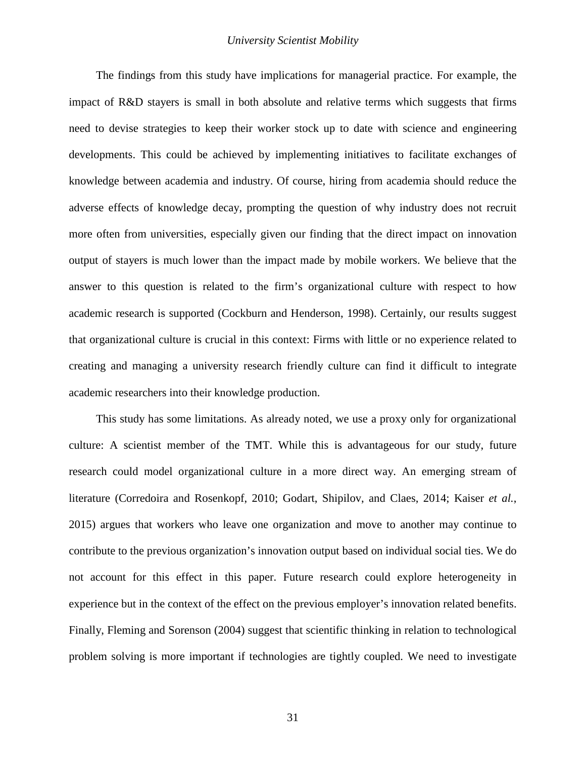The findings from this study have implications for managerial practice. For example, the impact of R&D stayers is small in both absolute and relative terms which suggests that firms need to devise strategies to keep their worker stock up to date with science and engineering developments. This could be achieved by implementing initiatives to facilitate exchanges of knowledge between academia and industry. Of course, hiring from academia should reduce the adverse effects of knowledge decay, prompting the question of why industry does not recruit more often from universities, especially given our finding that the direct impact on innovation output of stayers is much lower than the impact made by mobile workers. We believe that the answer to this question is related to the firm's organizational culture with respect to how academic research is supported [\(Cockburn and Henderson, 1998\)](#page-34-8). Certainly, our results suggest that organizational culture is crucial in this context: Firms with little or no experience related to creating and managing a university research friendly culture can find it difficult to integrate academic researchers into their knowledge production.

This study has some limitations. As already noted, we use a proxy only for organizational culture: A scientist member of the TMT. While this is advantageous for our study, future research could model organizational culture in a more direct way. An emerging stream of literature [\(Corredoira and Rosenkopf, 2010;](#page-35-4) [Godart, Shipilov, and Claes, 2014;](#page-35-21) [Kaiser](#page-36-2) *et al.*, [2015\)](#page-36-2) argues that workers who leave one organization and move to another may continue to contribute to the previous organization's innovation output based on individual social ties. We do not account for this effect in this paper. Future research could explore heterogeneity in experience but in the context of the effect on the previous employer's innovation related benefits. Finally, Fleming and Sorenson [\(2004\)](#page-35-1) suggest that scientific thinking in relation to technological problem solving is more important if technologies are tightly coupled. We need to investigate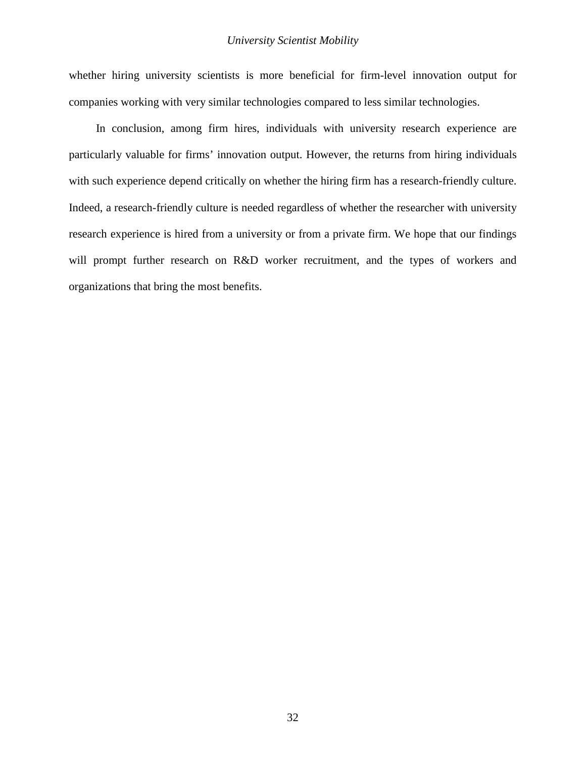whether hiring university scientists is more beneficial for firm-level innovation output for companies working with very similar technologies compared to less similar technologies.

In conclusion, among firm hires, individuals with university research experience are particularly valuable for firms' innovation output. However, the returns from hiring individuals with such experience depend critically on whether the hiring firm has a research-friendly culture. Indeed, a research-friendly culture is needed regardless of whether the researcher with university research experience is hired from a university or from a private firm. We hope that our findings will prompt further research on R&D worker recruitment, and the types of workers and organizations that bring the most benefits.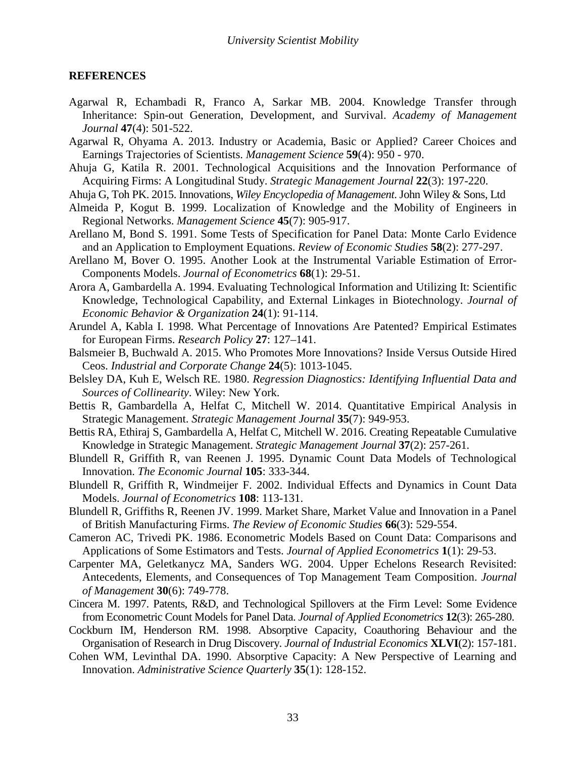## **REFERENCES**

- <span id="page-34-6"></span>Agarwal R, Echambadi R, Franco A, Sarkar MB. 2004. Knowledge Transfer through Inheritance: Spin-out Generation, Development, and Survival. *Academy of Management Journal* **47**(4): 501-522.
- <span id="page-34-5"></span>Agarwal R, Ohyama A. 2013. Industry or Academia, Basic or Applied? Career Choices and Earnings Trajectories of Scientists. *Management Science* **59**(4): 950 - 970.
- <span id="page-34-11"></span>Ahuja G, Katila R. 2001. Technological Acquisitions and the Innovation Performance of Acquiring Firms: A Longitudinal Study. *Strategic Management Journal* **22**(3): 197-220.
- <span id="page-34-3"></span>Ahuja G, Toh PK. 2015. Innovations, *Wiley Encyclopedia of Management*. John Wiley & Sons, Ltd
- <span id="page-34-0"></span>Almeida P, Kogut B. 1999. Localization of Knowledge and the Mobility of Engineers in Regional Networks. *Management Science* **45**(7): 905-917.
- <span id="page-34-18"></span>Arellano M, Bond S. 1991. Some Tests of Specification for Panel Data: Monte Carlo Evidence and an Application to Employment Equations. *Review of Economic Studies* **58**(2): 277-297.
- <span id="page-34-19"></span>Arellano M, Bover O. 1995. Another Look at the Instrumental Variable Estimation of Error-Components Models. *Journal of Econometrics* **68**(1): 29-51.
- <span id="page-34-4"></span>Arora A, Gambardella A. 1994. Evaluating Technological Information and Utilizing It: Scientific Knowledge, Technological Capability, and External Linkages in Biotechnology. *Journal of Economic Behavior & Organization* **24**(1): 91-114.
- <span id="page-34-9"></span>Arundel A, Kabla I. 1998. What Percentage of Innovations Are Patented? Empirical Estimates for European Firms. *Research Policy* **27**: 127–141.
- <span id="page-34-7"></span>Balsmeier B, Buchwald A. 2015. Who Promotes More Innovations? Inside Versus Outside Hired Ceos. *Industrial and Corporate Change* **24**(5): 1013-1045.
- <span id="page-34-17"></span>Belsley DA, Kuh E, Welsch RE. 1980. *Regression Diagnostics: Identifying Influential Data and Sources of Collinearity*. Wiley: New York.
- <span id="page-34-2"></span>Bettis R, Gambardella A, Helfat C, Mitchell W. 2014. Quantitative Empirical Analysis in Strategic Management. *Strategic Management Journal* **35**(7): 949-953.
- <span id="page-34-13"></span>Bettis RA, Ethiraj S, Gambardella A, Helfat C, Mitchell W. 2016. Creating Repeatable Cumulative Knowledge in Strategic Management. *Strategic Management Journal* **37**(2): 257-261.
- <span id="page-34-1"></span>Blundell R, Griffith R, van Reenen J. 1995. Dynamic Count Data Models of Technological Innovation. *The Economic Journal* **105**: 333-344.
- <span id="page-34-16"></span>Blundell R, Griffith R, Windmeijer F. 2002. Individual Effects and Dynamics in Count Data Models. *Journal of Econometrics* **108**: 113-131.
- <span id="page-34-10"></span>Blundell R, Griffiths R, Reenen JV. 1999. Market Share, Market Value and Innovation in a Panel of British Manufacturing Firms. *The Review of Economic Studies* **66**(3): 529-554.
- <span id="page-34-14"></span>Cameron AC, Trivedi PK. 1986. Econometric Models Based on Count Data: Comparisons and Applications of Some Estimators and Tests. *Journal of Applied Econometrics* **1**(1): 29-53.
- <span id="page-34-12"></span>Carpenter MA, Geletkanycz MA, Sanders WG. 2004. Upper Echelons Research Revisited: Antecedents, Elements, and Consequences of Top Management Team Composition. *Journal of Management* **30**(6): 749-778.
- <span id="page-34-15"></span>Cincera M. 1997. Patents, R&D, and Technological Spillovers at the Firm Level: Some Evidence from Econometric Count Models for Panel Data. *Journal of Applied Econometrics* **12**(3): 265-280.
- <span id="page-34-8"></span>Cockburn IM, Henderson RM. 1998. Absorptive Capacity, Coauthoring Behaviour and the Organisation of Research in Drug Discovery. *Journal of Industrial Economics* **XLVI**(2): 157-181.
- <span id="page-34-20"></span>Cohen WM, Levinthal DA. 1990. Absorptive Capacity: A New Perspective of Learning and Innovation. *Administrative Science Quarterly* **35**(1): 128-152.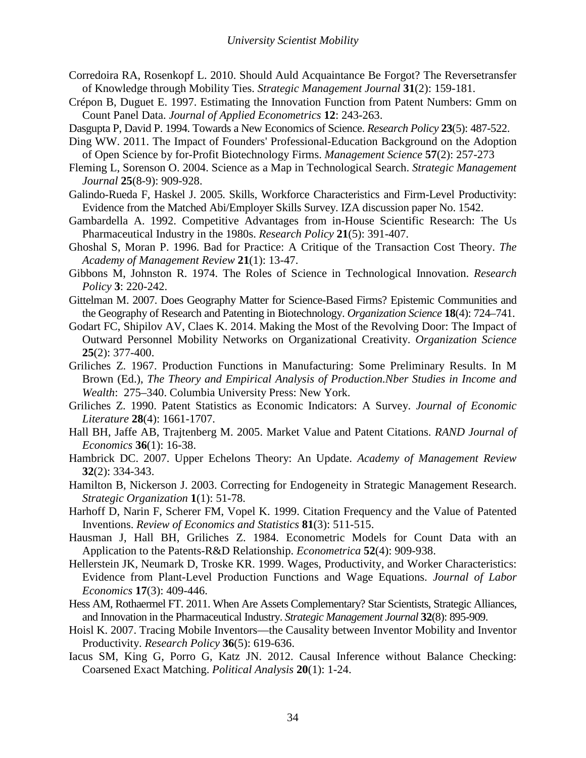- <span id="page-35-4"></span>Corredoira RA, Rosenkopf L. 2010. Should Auld Acquaintance Be Forgot? The Reversetransfer of Knowledge through Mobility Ties. *Strategic Management Journal* **31**(2): 159-181.
- <span id="page-35-17"></span>Crépon B, Duguet E. 1997. Estimating the Innovation Function from Patent Numbers: Gmm on Count Panel Data. *Journal of Applied Econometrics* **12**: 243-263.
- <span id="page-35-5"></span>Dasgupta P, David P. 1994. Towards a New Economics of Science. *Research Policy* **23**(5): 487-522.
- <span id="page-35-8"></span>Ding WW. 2011. The Impact of Founders' Professional-Education Background on the Adoption of Open Science by for-Profit Biotechnology Firms. *Management Science* **57**(2): 257-273
- <span id="page-35-1"></span>Fleming L, Sorenson O. 2004. Science as a Map in Technological Search. *Strategic Management Journal* **25**(8-9): 909-928.
- <span id="page-35-16"></span>Galindo-Rueda F, Haskel J. 2005. Skills, Workforce Characteristics and Firm-Level Productivity: Evidence from the Matched Abi/Employer Skills Survey. IZA discussion paper No. 1542.
- <span id="page-35-0"></span>Gambardella A. 1992. Competitive Advantages from in-House Scientific Research: The Us Pharmaceutical Industry in the 1980s. *Research Policy* **21**(5): 391-407.
- <span id="page-35-20"></span>Ghoshal S, Moran P. 1996. Bad for Practice: A Critique of the Transaction Cost Theory. *The Academy of Management Review* **21**(1): 13-47.
- <span id="page-35-7"></span>Gibbons M, Johnston R. 1974. The Roles of Science in Technological Innovation. *Research Policy* **3**: 220-242.
- <span id="page-35-2"></span>Gittelman M. 2007. Does Geography Matter for Science-Based Firms? Epistemic Communities and the Geography of Research and Patenting in Biotechnology. *Organization Science* **18**(4): 724–741.
- <span id="page-35-21"></span>Godart FC, Shipilov AV, Claes K. 2014. Making the Most of the Revolving Door: The Impact of Outward Personnel Mobility Networks on Organizational Creativity. *Organization Science* **25**(2): 377-400.
- <span id="page-35-14"></span>Griliches Z. 1967. Production Functions in Manufacturing: Some Preliminary Results. In M Brown (Ed.), *The Theory and Empirical Analysis of Production.Nber Studies in Income and Wealth*: 275–340. Columbia University Press: New York.
- <span id="page-35-9"></span>Griliches Z. 1990. Patent Statistics as Economic Indicators: A Survey. *Journal of Economic Literature* **28**(4): 1661-1707.
- <span id="page-35-11"></span>Hall BH, Jaffe AB, Trajtenberg M. 2005. Market Value and Patent Citations. *RAND Journal of Economics* **36**(1): 16-38.
- <span id="page-35-12"></span>Hambrick DC. 2007. Upper Echelons Theory: An Update. *Academy of Management Review* **32**(2): 334-343.
- <span id="page-35-18"></span>Hamilton B, Nickerson J. 2003. Correcting for Endogeneity in Strategic Management Research. *Strategic Organization* **1**(1): 51-78.
- <span id="page-35-10"></span>Harhoff D, Narin F, Scherer FM, Vopel K. 1999. Citation Frequency and the Value of Patented Inventions. *Review of Economics and Statistics* **81**(3): 511-515.
- <span id="page-35-13"></span>Hausman J, Hall BH, Griliches Z. 1984. Econometric Models for Count Data with an Application to the Patents-R&D Relationship. *Econometrica* **52**(4): 909-938.
- <span id="page-35-15"></span>Hellerstein JK, Neumark D, Troske KR. 1999. Wages, Productivity, and Worker Characteristics: Evidence from Plant-Level Production Functions and Wage Equations. *Journal of Labor Economics* **17**(3): 409-446.
- <span id="page-35-6"></span>Hess AM, Rothaermel FT. 2011. When Are Assets Complementary? Star Scientists, Strategic Alliances, and Innovation in the Pharmaceutical Industry. *Strategic Management Journal* **32**(8): 895-909.
- <span id="page-35-3"></span>Hoisl K. 2007. Tracing Mobile Inventors—the Causality between Inventor Mobility and Inventor Productivity. *Research Policy* **36**(5): 619-636.
- <span id="page-35-19"></span>Iacus SM, King G, Porro G, Katz JN. 2012. Causal Inference without Balance Checking: Coarsened Exact Matching. *Political Analysis* **20**(1): 1-24.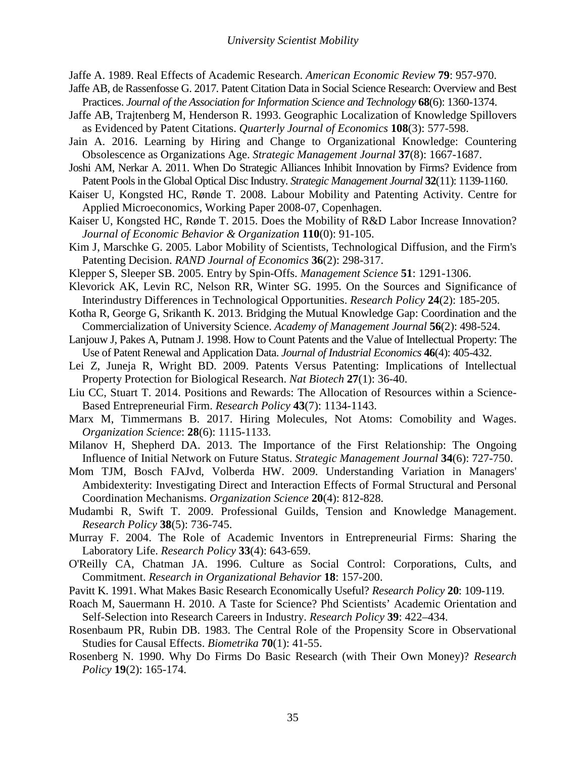<span id="page-36-0"></span>Jaffe A. 1989. Real Effects of Academic Research. *American Economic Review* **79**: 957-970.

- <span id="page-36-21"></span>Jaffe AB, de Rassenfosse G. 2017. Patent Citation Data in Social Science Research: Overview and Best Practices. *Journal of the Association for Information Science and Technology* **68**(6): 1360-1374.
- <span id="page-36-18"></span>Jaffe AB, Trajtenberg M, Henderson R. 1993. Geographic Localization of Knowledge Spillovers as Evidenced by Patent Citations. *Quarterly Journal of Economics* **108**(3): 577-598.
- <span id="page-36-3"></span>Jain A. 2016. Learning by Hiring and Change to Organizational Knowledge: Countering Obsolescence as Organizations Age. *Strategic Management Journal* **37**(8): 1667-1687.
- <span id="page-36-19"></span>Joshi AM, Nerkar A. 2011. When Do Strategic Alliances Inhibit Innovation by Firms? Evidence from Patent Pools in the Global Optical Disc Industry. *Strategic Management Journal* **32**(11): 1139-1160.
- <span id="page-36-17"></span>Kaiser U, Kongsted HC, Rønde T. 2008. Labour Mobility and Patenting Activity. Centre for Applied Microeconomics, Working Paper 2008-07, Copenhagen.
- <span id="page-36-2"></span>Kaiser U, Kongsted HC, Rønde T. 2015. Does the Mobility of R&D Labor Increase Innovation? *Journal of Economic Behavior & Organization* **110**(0): 91-105.
- <span id="page-36-15"></span>Kim J, Marschke G. 2005. Labor Mobility of Scientists, Technological Diffusion, and the Firm's Patenting Decision. *RAND Journal of Economics* **36**(2): 298-317.
- <span id="page-36-4"></span>Klepper S, Sleeper SB. 2005. Entry by Spin-Offs. *Management Science* **51**: 1291-1306.
- <span id="page-36-6"></span>Klevorick AK, Levin RC, Nelson RR, Winter SG. 1995. On the Sources and Significance of Interindustry Differences in Technological Opportunities. *Research Policy* **24**(2): 185-205.
- <span id="page-36-1"></span>Kotha R, George G, Srikanth K. 2013. Bridging the Mutual Knowledge Gap: Coordination and the Commercialization of University Science. *Academy of Management Journal* **56**(2): 498-524.
- <span id="page-36-20"></span>Lanjouw J, Pakes A, Putnam J. 1998. How to Count Patents and the Value of Intellectual Property: The Use of Patent Renewal and Application Data. *Journal of Industrial Economics* **46**(4): 405-432.
- <span id="page-36-13"></span>Lei Z, Juneja R, Wright BD. 2009. Patents Versus Patenting: Implications of Intellectual Property Protection for Biological Research. *Nat Biotech* **27**(1): 36-40.
- <span id="page-36-10"></span>Liu CC, Stuart T. 2014. Positions and Rewards: The Allocation of Resources within a Science-Based Entrepreneurial Firm. *Research Policy* **43**(7): 1134-1143.
- <span id="page-36-16"></span>Marx M, Timmermans B. 2017. Hiring Molecules, Not Atoms: Comobility and Wages. *Organization Science*: **28**(6): 1115-1133.
- <span id="page-36-22"></span>Milanov H, Shepherd DA. 2013. The Importance of the First Relationship: The Ongoing Influence of Initial Network on Future Status. *Strategic Management Journal* **34**(6): 727-750.
- <span id="page-36-9"></span>Mom TJM, Bosch FAJvd, Volberda HW. 2009. Understanding Variation in Managers' Ambidexterity: Investigating Direct and Interaction Effects of Formal Structural and Personal Coordination Mechanisms. *Organization Science* **20**(4): 812-828.
- <span id="page-36-14"></span>Mudambi R, Swift T. 2009. Professional Guilds, Tension and Knowledge Management. *Research Policy* **38**(5): 736-745.
- <span id="page-36-7"></span>Murray F. 2004. The Role of Academic Inventors in Entrepreneurial Firms: Sharing the Laboratory Life. *Research Policy* **33**(4): 643-659.
- <span id="page-36-11"></span>O'Reilly CA, Chatman JA. 1996. Culture as Social Control: Corporations, Cults, and Commitment. *Research in Organizational Behavior* **18**: 157-200.
- <span id="page-36-5"></span>Pavitt K. 1991. What Makes Basic Research Economically Useful? *Research Policy* **20**: 109-119.
- <span id="page-36-8"></span>Roach M, Sauermann H. 2010. A Taste for Science? Phd Scientists' Academic Orientation and Self-Selection into Research Careers in Industry. *Research Policy* **39**: 422–434.
- <span id="page-36-23"></span>Rosenbaum PR, Rubin DB. 1983. The Central Role of the Propensity Score in Observational Studies for Causal Effects. *Biometrika* **70**(1): 41-55.
- <span id="page-36-12"></span>Rosenberg N. 1990. Why Do Firms Do Basic Research (with Their Own Money)? *Research Policy* **19**(2): 165-174.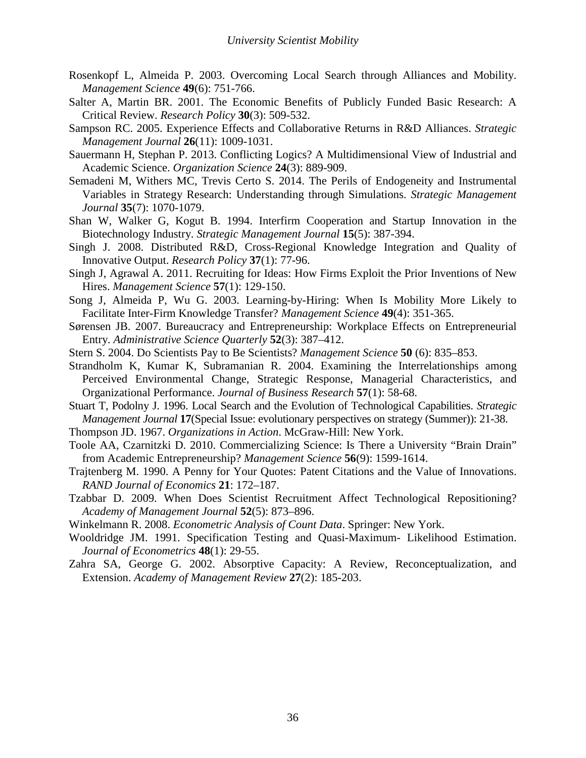- <span id="page-37-0"></span>Rosenkopf L, Almeida P. 2003. Overcoming Local Search through Alliances and Mobility. *Management Science* **49**(6): 751-766.
- <span id="page-37-6"></span>Salter A, Martin BR. 2001. The Economic Benefits of Publicly Funded Basic Research: A Critical Review. *Research Policy* **30**(3): 509-532.
- <span id="page-37-4"></span>Sampson RC. 2005. Experience Effects and Collaborative Returns in R&D Alliances. *Strategic Management Journal* **26**(11): 1009-1031.
- <span id="page-37-3"></span>Sauermann H, Stephan P. 2013. Conflicting Logics? A Multidimensional View of Industrial and Academic Science. *Organization Science* **24**(3): 889-909.
- <span id="page-37-18"></span>Semadeni M, Withers MC, Trevis Certo S. 2014. The Perils of Endogeneity and Instrumental Variables in Strategy Research: Understanding through Simulations. *Strategic Management Journal* **35**(7): 1070-1079.
- <span id="page-37-14"></span>Shan W, Walker G, Kogut B. 1994. Interfirm Cooperation and Startup Innovation in the Biotechnology Industry. *Strategic Management Journal* **15**(5): 387-394.
- <span id="page-37-5"></span>Singh J. 2008. Distributed R&D, Cross-Regional Knowledge Integration and Quality of Innovative Output. *Research Policy* **37**(1): 77-96.
- <span id="page-37-2"></span>Singh J, Agrawal A. 2011. Recruiting for Ideas: How Firms Exploit the Prior Inventions of New Hires. *Management Science* **57**(1): 129-150.
- <span id="page-37-12"></span>Song J, Almeida P, Wu G. 2003. Learning-by-Hiring: When Is Mobility More Likely to Facilitate Inter-Firm Knowledge Transfer? *Management Science* **49**(4): 351-365.
- <span id="page-37-13"></span>Sørensen JB. 2007. Bureaucracy and Entrepreneurship: Workplace Effects on Entrepreneurial Entry. *Administrative Science Quarterly* **52**(3): 387–412.
- <span id="page-37-7"></span>Stern S. 2004. Do Scientists Pay to Be Scientists? *Management Science* **50** (6): 835–853.
- <span id="page-37-15"></span>Strandholm K, Kumar K, Subramanian R. 2004. Examining the Interrelationships among Perceived Environmental Change, Strategic Response, Managerial Characteristics, and Organizational Performance. *Journal of Business Research* **57**(1): 58-68.
- <span id="page-37-11"></span>Stuart T, Podolny J. 1996. Local Search and the Evolution of Technological Capabilities. *Strategic Management Journal* **17**(Special Issue: evolutionary perspectives on strategy (Summer)): 21-38.
- <span id="page-37-8"></span>Thompson JD. 1967. *Organizations in Action*. McGraw-Hill: New York.
- Toole AA, Czarnitzki D. 2010. Commercializing Science: Is There a University "Brain Drain" from Academic Entrepreneurship? *Management Science* **56**(9): 1599-1614.
- <span id="page-37-10"></span>Trajtenberg M. 1990. A Penny for Your Quotes: Patent Citations and the Value of Innovations. *RAND Journal of Economics* **21**: 172–187.
- <span id="page-37-1"></span>Tzabbar D. 2009. When Does Scientist Recruitment Affect Technological Repositioning? *Academy of Management Journal* **52**(5): 873–896.
- <span id="page-37-16"></span>Winkelmann R. 2008. *Econometric Analysis of Count Data*. Springer: New York.
- <span id="page-37-17"></span>Wooldridge JM. 1991. Specification Testing and Quasi-Maximum- Likelihood Estimation. *Journal of Econometrics* **48**(1): 29-55.
- <span id="page-37-9"></span>Zahra SA, George G. 2002. Absorptive Capacity: A Review, Reconceptualization, and Extension. *Academy of Management Review* **27**(2): 185-203.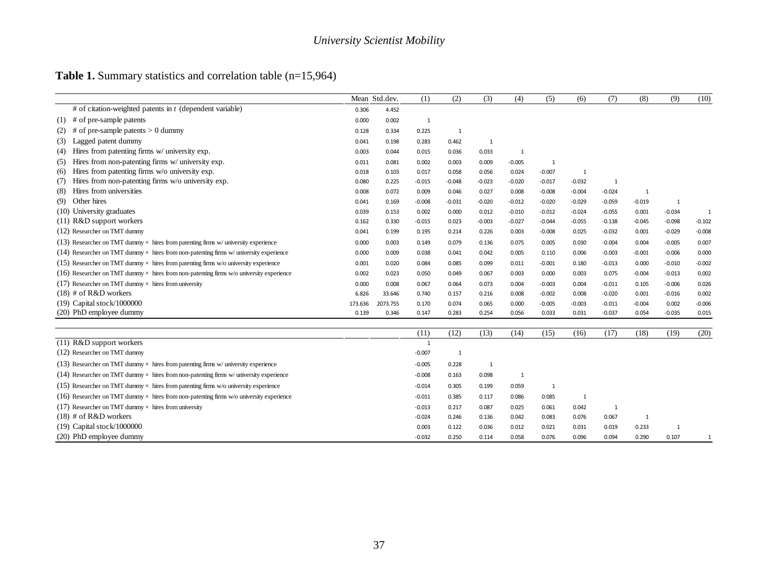## **Table 1.** Summary statistics and correlation table (n=15,964)

|                                                                                                |         | Mean Std.dev. | (1)       | (2)          | (3)      | (4)          | (5)          | (6)            | (7)      | (8)            | (9)          | (10)         |
|------------------------------------------------------------------------------------------------|---------|---------------|-----------|--------------|----------|--------------|--------------|----------------|----------|----------------|--------------|--------------|
| # of citation-weighted patents in $t$ (dependent variable)                                     | 0.306   | 4.452         |           |              |          |              |              |                |          |                |              |              |
| $(1)$ # of pre-sample patents                                                                  | 0.000   | 0.002         | 1         |              |          |              |              |                |          |                |              |              |
| of pre-sample patents $> 0$ dummy<br>#<br>(2)                                                  | 0.128   | 0.334         | 0.225     | $\mathbf{1}$ |          |              |              |                |          |                |              |              |
| Lagged patent dummy<br>(3)                                                                     | 0.041   | 0.198         | 0.283     | 0.462        | 1        |              |              |                |          |                |              |              |
| Hires from patenting firms w/ university exp.<br>(4)                                           | 0.003   | 0.044         | 0.015     | 0.036        | 0.033    | 1            |              |                |          |                |              |              |
| Hires from non-patenting firms w/ university exp.<br>(5)                                       | 0.011   | 0.081         | 0.002     | 0.003        | 0.009    | $-0.005$     | 1            |                |          |                |              |              |
| Hires from patenting firms w/o university exp.<br>(6)                                          | 0.018   | 0.103         | 0.017     | 0.058        | 0.056    | 0.024        | $-0.007$     | $\mathbf{1}$   |          |                |              |              |
| Hires from non-patenting firms w/o university exp.<br>(7)                                      | 0.080   | 0.225         | $-0.015$  | $-0.048$     | $-0.023$ | $-0.020$     | $-0.017$     | $-0.032$       | 1        |                |              |              |
| Hires from universities<br>(8)                                                                 | 0.008   | 0.072         | 0.009     | 0.046        | 0.027    | 0.008        | $-0.008$     | $-0.004$       | $-0.024$ | $\overline{1}$ |              |              |
| Other hires<br>(9)                                                                             | 0.041   | 0.169         | $-0.008$  | $-0.031$     | $-0.020$ | $-0.012$     | $-0.020$     | $-0.029$       | $-0.059$ | $-0.019$       | 1            |              |
| (10) University graduates                                                                      | 0.039   | 0.153         | 0.002     | 0.000        | 0.012    | $-0.010$     | $-0.012$     | $-0.024$       | $-0.055$ | 0.001          | $-0.034$     | $\mathbf{1}$ |
| (11) R&D support workers                                                                       | 0.162   | 0.330         | $-0.015$  | 0.023        | $-0.003$ | $-0.027$     | $-0.044$     | $-0.055$       | $-0.138$ | $-0.045$       | $-0.098$     | $-0.102$     |
| (12) Researcher on TMT dummy                                                                   | 0.041   | 0.199         | 0.195     | 0.214        | 0.226    | 0.003        | $-0.008$     | 0.025          | $-0.032$ | 0.001          | $-0.029$     | $-0.008$     |
| (13) Researcher on TMT dummy $\times$ hires from patenting firms w/ university experience      | 0.000   | 0.003         | 0.149     | 0.079        | 0.136    | 0.075        | 0.005        | 0.030          | $-0.004$ | 0.004          | $-0.005$     | 0.007        |
| (14) Researcher on TMT dummy $\times$ hires from non-patenting firms w/ university experience  | 0.000   | 0.009         | 0.038     | 0.041        | 0.042    | 0.005        | 0.110        | 0.006          | $-0.003$ | $-0.001$       | $-0.006$     | 0.000        |
| (15) Researcher on TMT dummy $\times$ hires from patenting firms w/o university experience     | 0.001   | 0.020         | 0.084     | 0.085        | 0.099    | 0.011        | $-0.001$     | 0.180          | $-0.013$ | 0.000          | $-0.010$     | $-0.002$     |
| (16) Researcher on TMT dummy $\times$ hires from non-patenting firms w/o university experience | 0.002   | 0.023         | 0.050     | 0.049        | 0.067    | 0.003        | 0.000        | 0.003          | 0.075    | $-0.004$       | $-0.013$     | 0.002        |
| (17) Researcher on TMT dummy $\times$ hires from university                                    | 0.000   | 0.008         | 0.067     | 0.064        | 0.073    | 0.004        | $-0.003$     | 0.004          | $-0.011$ | 0.105          | $-0.006$     | 0.026        |
| $(18)$ # of R&D workers                                                                        | 6.826   | 33.646        | 0.740     | 0.157        | 0.216    | 0.008        | $-0.002$     | 0.008          | $-0.020$ | 0.001          | $-0.016$     | 0.002        |
| (19) Capital stock/1000000                                                                     | 173.636 | 2073.755      | 0.170     | 0.074        | 0.065    | 0.000        | $-0.005$     | $-0.003$       | $-0.011$ | $-0.004$       | 0.002        | $-0.006$     |
| (20) PhD employee dummy                                                                        | 0.139   | 0.346         | 0.147     | 0.283        | 0.254    | 0.056        | 0.033        | 0.031          | $-0.037$ | 0.054          | $-0.035$     | 0.015        |
|                                                                                                |         |               |           |              |          |              |              |                |          |                |              |              |
| (11) R&D support workers                                                                       |         |               | (11)<br>1 | (12)         | (13)     | (14)         | (15)         | (16)           | (17)     | (18)           | (19)         | (20)         |
| (12) Researcher on TMT dummy                                                                   |         |               | $-0.007$  | $\mathbf{1}$ |          |              |              |                |          |                |              |              |
| (13) Researcher on TMT dummy $\times$ hires from patenting firms w/ university experience      |         |               | $-0.005$  | 0.228        | 1        |              |              |                |          |                |              |              |
| (14) Researcher on TMT dummy $\times$ hires from non-patenting firms w/ university experience  |         |               | $-0.008$  | 0.163        | 0.098    | $\mathbf{1}$ |              |                |          |                |              |              |
| (15) Researcher on TMT dummy $\times$ hires from patenting firms w/o university experience     |         |               | $-0.014$  | 0.305        | 0.199    | 0.059        | $\mathbf{1}$ |                |          |                |              |              |
| (16) Researcher on TMT dummy $\times$ hires from non-patenting firms w/o university experience |         |               | $-0.011$  | 0.385        | 0.117    | 0.086        | 0.085        | $\overline{1}$ |          |                |              |              |
| (17) Researcher on TMT dummy $\times$ hires from university                                    |         |               | $-0.013$  | 0.217        | 0.087    | 0.025        | 0.061        | 0.042          | 1        |                |              |              |
| $(18)$ # of R&D workers                                                                        |         |               | $-0.024$  | 0.246        | 0.136    | 0.042        | 0.083        | 0.076          | 0.067    | $\mathbf{1}$   |              |              |
| (19) Capital stock/1000000                                                                     |         |               | 0.003     | 0.122        | 0.036    | 0.012        | 0.021        | 0.031          | 0.019    | 0.233          | $\mathbf{1}$ |              |
| (20) PhD employee dummy                                                                        |         |               | $-0.032$  | 0.250        | 0.114    | 0.058        | 0.076        | 0.096          | 0.094    | 0.290          | 0.107        | $\mathbf{1}$ |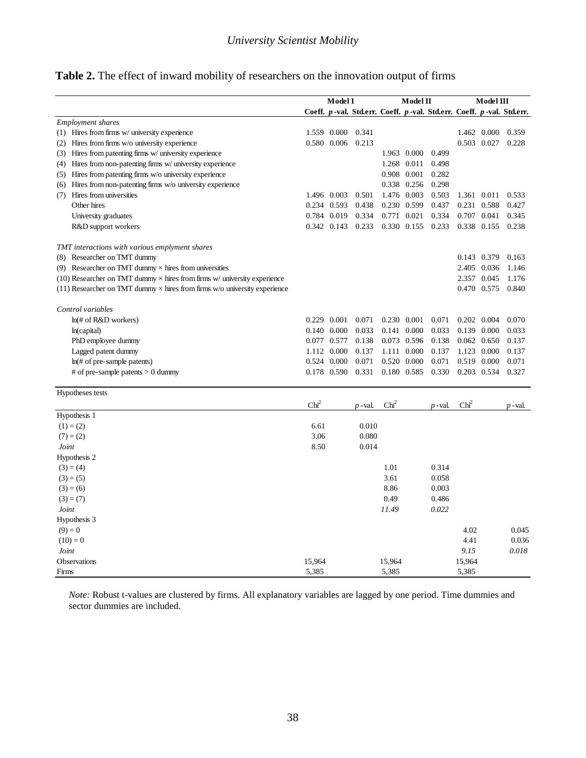|                                                                                    | <b>Model I</b>   |             |                                                                      |                  | Model II    |         |                  | Model III     |           |
|------------------------------------------------------------------------------------|------------------|-------------|----------------------------------------------------------------------|------------------|-------------|---------|------------------|---------------|-----------|
|                                                                                    |                  |             | Coeff. p-val. Std.err. Coeff. p-val. Std.err. Coeff. p-val. Std.err. |                  |             |         |                  |               |           |
| <b>Employment</b> shares                                                           |                  |             |                                                                      |                  |             |         |                  |               |           |
| (1) Hires from firms w/ university experience                                      |                  | 1.559 0.000 | 0.341                                                                |                  |             |         |                  | 1.462 0.000   | 0.359     |
| Hires from firms w/o university experience<br>(2)                                  |                  | 0.580 0.006 | 0.213                                                                |                  |             |         |                  | 0.503 0.027   | 0.228     |
| Hires from patenting firms w/ university experience<br>(3)                         |                  |             |                                                                      |                  | 1.963 0.000 | 0.499   |                  |               |           |
| Hires from non-patenting firms w/ university experience<br>(4)                     |                  |             |                                                                      |                  | 1.268 0.011 | 0.498   |                  |               |           |
| Hires from patenting firms w/o university experience<br>(5)                        |                  |             |                                                                      |                  | 0.908 0.001 | 0.282   |                  |               |           |
| Hires from non-patenting firms w/o university experience<br>(6)                    |                  |             |                                                                      |                  | 0.338 0.256 | 0.298   |                  |               |           |
| Hires from universities<br>(7)                                                     |                  | 1.496 0.003 | 0.501                                                                |                  | 1.476 0.003 | 0.503   |                  | 1.361 0.011   | 0.533     |
| Other hires                                                                        |                  | 0.234 0.593 | 0.438                                                                |                  | 0.230 0.599 | 0.437   |                  | 0.231 0.588   | 0.427     |
| University graduates                                                               |                  | 0.784 0.019 | 0.334                                                                |                  | 0.771 0.021 | 0.334   |                  | 0.707 0.041   | 0.345     |
| R&D support workers                                                                |                  | 0.342 0.143 | 0.233                                                                |                  | 0.330 0.155 | 0.233   |                  | 0.338 0.155   | 0.238     |
| TMT interactions with various emplyment shares                                     |                  |             |                                                                      |                  |             |         |                  |               |           |
| (8) Researcher on TMT dummy                                                        |                  |             |                                                                      |                  |             |         |                  | 0.143 0.379   | 0.163     |
| (9) Researcher on TMT dummy $\times$ hires from universities                       |                  |             |                                                                      |                  |             |         |                  | 2.405 0.036   | 1.146     |
| (10) Researcher on TMT dummy $\times$ hires from firms w/ university experience    |                  |             |                                                                      |                  |             |         |                  | 2.357 0.045   | 1.176     |
| $(11)$ Researcher on TMT dummy $\times$ hires from firms w/o university experience |                  |             |                                                                      |                  |             |         |                  | 0.470 0.575   | 0.840     |
| Control variables                                                                  |                  |             |                                                                      |                  |             |         |                  |               |           |
| ln(# of R&D workers)                                                               |                  | 0.229 0.001 | 0.071                                                                |                  | 0.230 0.001 | 0.071   |                  | 0.202 0.004   | 0.070     |
| ln(capital)                                                                        |                  | 0.140 0.000 | 0.033                                                                |                  | 0.141 0.000 | 0.033   |                  | 0.139 0.000   | 0.033     |
| PhD employee dummy                                                                 |                  | 0.077 0.577 | 0.138                                                                |                  | 0.073 0.596 | 0.138   |                  | $0.062$ 0.650 | 0.137     |
| Lagged patent dummy                                                                |                  | 1.112 0.000 | 0.137                                                                |                  | 1.111 0.000 | 0.137   |                  | 1.123 0.000   | 0.137     |
| $ln($ # of pre-sample patents)                                                     | 0.524            | 0.000       | 0.071                                                                | 0.520            | 0.000       | 0.071   |                  | 0.519 0.000   | 0.071     |
| # of pre-sample patents $> 0$ dummy                                                |                  | 0.178 0.590 | 0.331                                                                |                  | 0.180 0.585 | 0.330   |                  | 0.203 0.534   | 0.327     |
| Hypotheses tests                                                                   |                  |             |                                                                      |                  |             |         |                  |               |           |
|                                                                                    | Chi <sup>2</sup> |             | $p$ -val.                                                            | Chi <sup>2</sup> |             | p -val. | Chi <sup>2</sup> |               | $p$ -val. |
| Hypothesis 1                                                                       |                  |             |                                                                      |                  |             |         |                  |               |           |
| $(1) = (2)$                                                                        | 6.61             |             | 0.010                                                                |                  |             |         |                  |               |           |
| $(7) = (2)$                                                                        | 3.06             |             | 0.080                                                                |                  |             |         |                  |               |           |
| Joint                                                                              | 8.50             |             | 0.014                                                                |                  |             |         |                  |               |           |
| Hypothesis 2                                                                       |                  |             |                                                                      |                  |             |         |                  |               |           |
| $(3) = (4)$                                                                        |                  |             |                                                                      | 1.01             |             | 0.314   |                  |               |           |
| $(3) = (5)$                                                                        |                  |             |                                                                      | 3.61             |             | 0.058   |                  |               |           |
| $(3) = (6)$                                                                        |                  |             |                                                                      | 8.86             |             | 0.003   |                  |               |           |
| $(3) = (7)$                                                                        |                  |             |                                                                      | 0.49             |             | 0.486   |                  |               |           |
| Joint                                                                              |                  |             |                                                                      | 11.49            |             | 0.022   |                  |               |           |
| Hypothesis 3                                                                       |                  |             |                                                                      |                  |             |         |                  |               |           |
| $(9) = 0$                                                                          |                  |             |                                                                      |                  |             |         | 4.02             |               | 0.045     |
| $(10) = 0$                                                                         |                  |             |                                                                      |                  |             |         | 4.41             |               | 0.036     |
| Joint                                                                              |                  |             |                                                                      |                  |             |         | 9.15             |               | 0.018     |
| Observations                                                                       | 15,964           |             |                                                                      | 15,964           |             |         | 15,964           |               |           |
| Firms                                                                              | 5,385            |             |                                                                      | 5,385            |             |         | 5,385            |               |           |

*Note:* Robust t-values are clustered by firms. All explanatory variables are lagged by one period. Time dummies and sector dummies are included.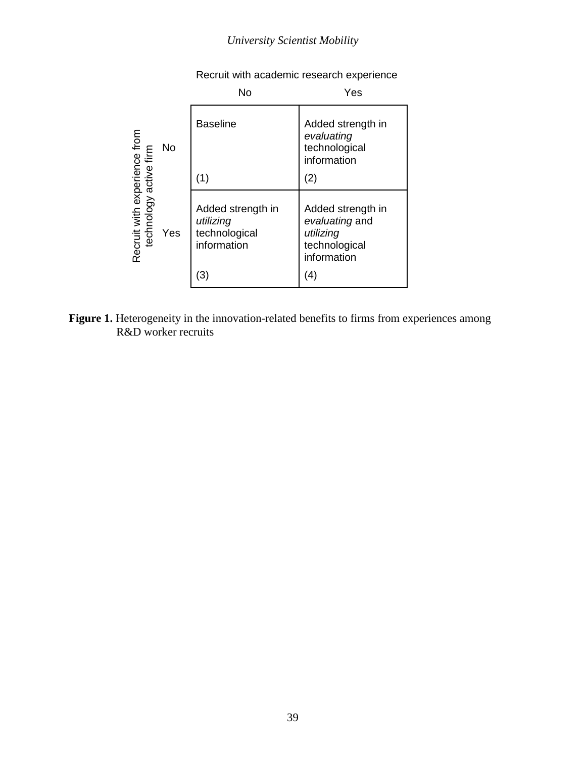|                                                        |           | <b>No</b>                                                             | Yes                                                                                     |
|--------------------------------------------------------|-----------|-----------------------------------------------------------------------|-----------------------------------------------------------------------------------------|
|                                                        | <b>No</b> | <b>Baseline</b>                                                       | Added strength in<br>evaluating<br>technological<br>information                         |
|                                                        |           | (1)                                                                   | (2)                                                                                     |
| Recruit with experience from<br>technology active firm | Yes       | Added strength in<br>utilizing<br>technological<br>information<br>(3) | Added strength in<br>evaluating and<br>utilizing<br>technological<br>information<br>(4) |

Recruit with academic research experience

Figure 1. Heterogeneity in the innovation-related benefits to firms from experiences among R&D worker recruits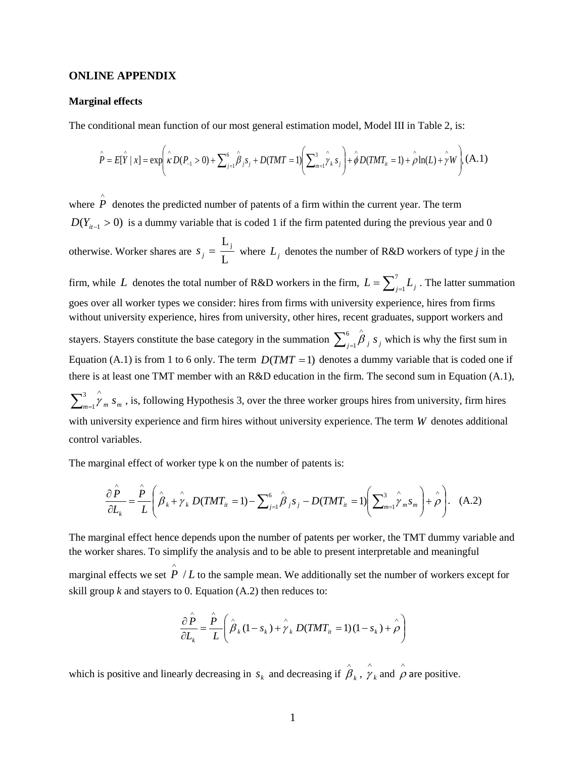#### **ONLINE APPENDIX**

#### **Marginal effects**

The conditional mean function of our most general estimation model, Model III in Table 2, is:

$$
\hat{P} = E[\hat{Y} | x] = \exp\left(\hat{\kappa}D(P_{-1} > 0) + \sum_{j=1}^{6} \hat{\beta}_{j} s_{j} + D(TMT = 1) \left(\sum_{m=1}^{3} \hat{\gamma}_{k} s_{j}\right) + \hat{\phi}D(TMT_{ii} = 1) + \hat{\rho}\ln(L) + \hat{\gamma}W\right), (A.1)
$$

where  $\hat{P}$  denotes the predicted number of patents of a firm within the current year. The term  $D(Y_{i+1} > 0)$  is a dummy variable that is coded 1 if the firm patented during the previous year and 0 otherwise. Worker shares are L  $s_j = \frac{L_j}{I}$  where  $L_j$  denotes the number of R&D workers of type *j* in the firm, while *L* denotes the total number of R&D workers in the firm,  $L = \sum_{j=1}^{7} L_j$ . The latter summation goes over all worker types we consider: hires from firms with university experience, hires from firms without university experience, hires from university, other hires, recent graduates, support workers and stayers. Stayers constitute the base category in the summation  $\sum_{j=1}^{6} \hat{\beta}_j s_j$  which is why the first sum in Equation (A.1) is from 1 to 6 only. The term  $D(TMT = 1)$  denotes a dummy variable that is coded one if there is at least one TMT member with an R&D education in the firm. The second sum in Equation (A.1),  $\sum_{m=1}^3 \hat{\gamma}_m s_m$ , is, following Hypothesis 3, over the three worker groups hires from university, firm hires with university experience and firm hires without university experience. The term *W* denotes additional control variables.

The marginal effect of worker type k on the number of patents is:

$$
\frac{\partial \hat{P}}{\partial L_k} = \frac{\hat{P}}{L} \left( \hat{\beta}_k + \hat{\gamma}_k D(TMT_{it} = 1) - \sum_{j=1}^6 \hat{\beta}_j s_j - D(TMT_{it} = 1) \left( \sum_{m=1}^3 \hat{\gamma}_m s_m \right) + \hat{\rho} \right). \quad (A.2)
$$

The marginal effect hence depends upon the number of patents per worker, the TMT dummy variable and the worker shares. To simplify the analysis and to be able to present interpretable and meaningful

marginal effects we set  $\hat{P}/L$  to the sample mean. We additionally set the number of workers except for skill group *k* and stayers to 0. Equation (A.2) then reduces to:

$$
\frac{\partial \hat{P}}{\partial L_k} = \frac{\hat{P}}{L} \left( \hat{\beta}_k (1 - s_k) + \hat{\gamma}_k D(TMT_{it} = 1) (1 - s_k) + \hat{\rho} \right)
$$

which is positive and linearly decreasing in  $s_k$  and decreasing if  $\hat{\beta}_k$ ,  $\hat{\gamma}_k$  $\hat{\gamma}_k$  and  $\hat{\rho}$  are positive.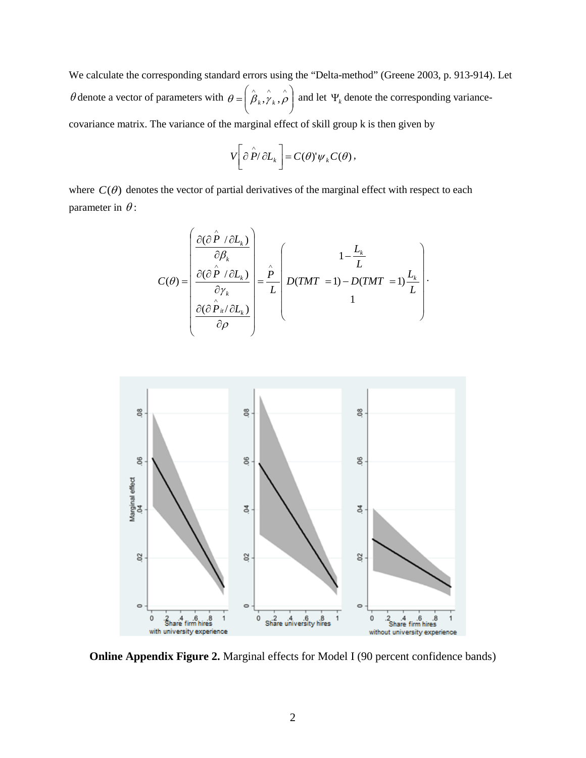We calculate the corresponding standard errors using the "Delta-method" (Greene 2003, p. 913-914). Let  $\theta$  denote a vector of parameters with  $\theta = \left[ \beta_k, \gamma_k, \rho \right]$ J  $\backslash$  $\overline{\phantom{a}}$  $\setminus$  $\theta = \left(\hat{\beta}_k, \hat{\gamma}_k, \hat{\rho}\right)$  and let  $\Psi_k$  denote the corresponding variancecovariance matrix. The variance of the marginal effect of skill group k is then given by

$$
V\left[\partial \hat{P}/\partial L_{k}\right] = C(\theta)\Psi_{k}C(\theta),
$$

where  $C(\theta)$  denotes the vector of partial derivatives of the marginal effect with respect to each parameter in  $\theta$ :

$$
C(\theta) = \begin{pmatrix} \frac{\partial(\partial \hat{P} / \partial L_k)}{\partial \beta_k} \\ \frac{\partial(\partial \hat{P} / \partial L_k)}{\partial \gamma_k} \\ \frac{\partial(\partial \hat{P}_i / \partial L_k)}{\partial \rho} \end{pmatrix} = \frac{\hat{P}}{L} \begin{pmatrix} 1 - \frac{L_k}{L} \\ D(TMT = 1) - D(TMT = 1) \frac{L_k}{L} \\ 1 \end{pmatrix}.
$$



**Online Appendix Figure 2.** Marginal effects for Model I (90 percent confidence bands)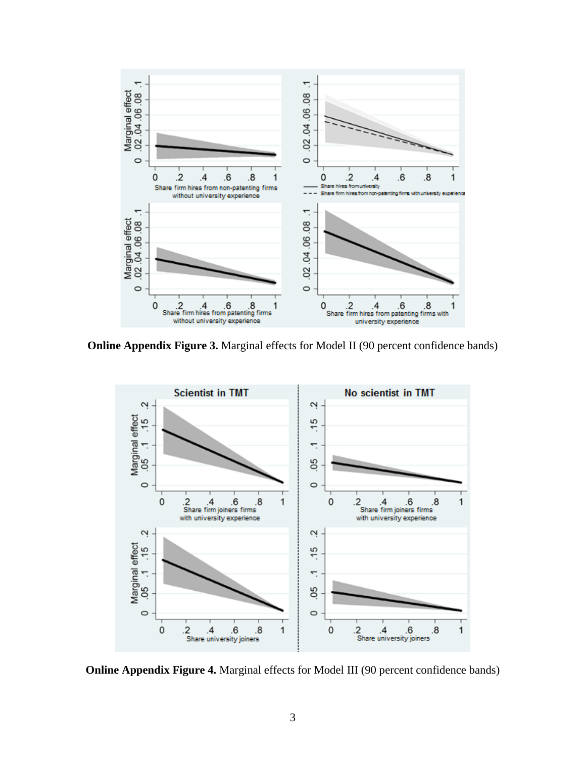

**Online Appendix Figure 3.** Marginal effects for Model II (90 percent confidence bands)



**Online Appendix Figure 4.** Marginal effects for Model III (90 percent confidence bands)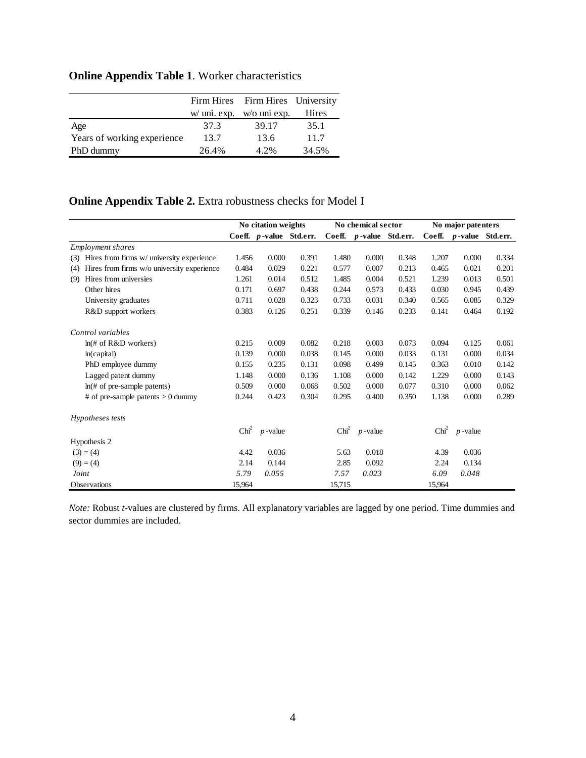# **Online Appendix Table 1**. Worker characteristics

|                             |       | Firm Hires Firm Hires University |       |
|-----------------------------|-------|----------------------------------|-------|
|                             |       | $w/$ uni. exp. $w$ o uni exp.    | Hires |
| Age                         | 37.3  | 39.17                            | 35.1  |
| Years of working experience | 13.7  | 13.6                             | 11.7  |
| PhD dummy                   | 26.4% | 4.2%                             | 34.5% |

## **Online Appendix Table 2.** Extra robustness checks for Model I

|                                                   | No citation weights |                         |       |                  | No chemical sector      |       | No major patenters |                          |       |  |
|---------------------------------------------------|---------------------|-------------------------|-------|------------------|-------------------------|-------|--------------------|--------------------------|-------|--|
|                                                   |                     | Coeff. p-value Std.err. |       |                  | Coeff. p-value Std.err. |       | Coeff.             | <i>p</i> -value Std.err. |       |  |
| <i>Employment shares</i>                          |                     |                         |       |                  |                         |       |                    |                          |       |  |
| Hires from firms w/ university experience<br>(3)  | 1.456               | 0.000                   | 0.391 | 1.480            | 0.000                   | 0.348 | 1.207              | 0.000                    | 0.334 |  |
| Hires from firms w/o university experience<br>(4) | 0.484               | 0.029                   | 0.221 | 0.577            | 0.007                   | 0.213 | 0.465              | 0.021                    | 0.201 |  |
| Hires from universies<br>(9)                      | 1.261               | 0.014                   | 0.512 | 1.485            | 0.004                   | 0.521 | 1.239              | 0.013                    | 0.501 |  |
| Other hires                                       | 0.171               | 0.697                   | 0.438 | 0.244            | 0.573                   | 0.433 | 0.030              | 0.945                    | 0.439 |  |
| University graduates                              | 0.711               | 0.028                   | 0.323 | 0.733            | 0.031                   | 0.340 | 0.565              | 0.085                    | 0.329 |  |
| R&D support workers                               | 0.383               | 0.126                   | 0.251 | 0.339            | 0.146                   | 0.233 | 0.141              | 0.464                    | 0.192 |  |
| Control variables                                 |                     |                         |       |                  |                         |       |                    |                          |       |  |
| $ln($ # of R&D workers)                           | 0.215               | 0.009                   | 0.082 | 0.218            | 0.003                   | 0.073 | 0.094              | 0.125                    | 0.061 |  |
| ln(capital)                                       | 0.139               | 0.000                   | 0.038 | 0.145            | 0.000                   | 0.033 | 0.131              | 0.000                    | 0.034 |  |
| PhD employee dummy                                | 0.155               | 0.235                   | 0.131 | 0.098            | 0.499                   | 0.145 | 0.363              | 0.010                    | 0.142 |  |
| Lagged patent dummy                               | 1.148               | 0.000                   | 0.136 | 1.108            | 0.000                   | 0.142 | 1.229              | 0.000                    | 0.143 |  |
| $ln($ # of pre-sample patents)                    | 0.509               | 0.000                   | 0.068 | 0.502            | 0.000                   | 0.077 | 0.310              | 0.000                    | 0.062 |  |
| # of pre-sample patents $> 0$ dummy               | 0.244               | 0.423                   | 0.304 | 0.295            | 0.400                   | 0.350 | 1.138              | 0.000                    | 0.289 |  |
| Hypotheses tests                                  |                     |                         |       |                  |                         |       |                    |                          |       |  |
|                                                   | Chi <sup>2</sup>    | $p$ -value              |       | Chi <sup>2</sup> | $p$ -value              |       | Chi <sup>2</sup>   | $p$ -value               |       |  |
| Hypothesis 2                                      |                     |                         |       |                  |                         |       |                    |                          |       |  |
| $(3) = (4)$                                       | 4.42                | 0.036                   |       | 5.63             | 0.018                   |       | 4.39               | 0.036                    |       |  |
| $(9) = (4)$                                       | 2.14                | 0.144                   |       | 2.85             | 0.092                   |       | 2.24               | 0.134                    |       |  |
| Joint                                             | 5.79                | 0.055                   |       | 7.57             | 0.023                   |       | 6.09               | 0.048                    |       |  |
| Observations                                      | 15,964              |                         |       | 15,715           |                         |       | 15,964             |                          |       |  |

*Note:* Robust *t*-values are clustered by firms. All explanatory variables are lagged by one period. Time dummies and sector dummies are included.